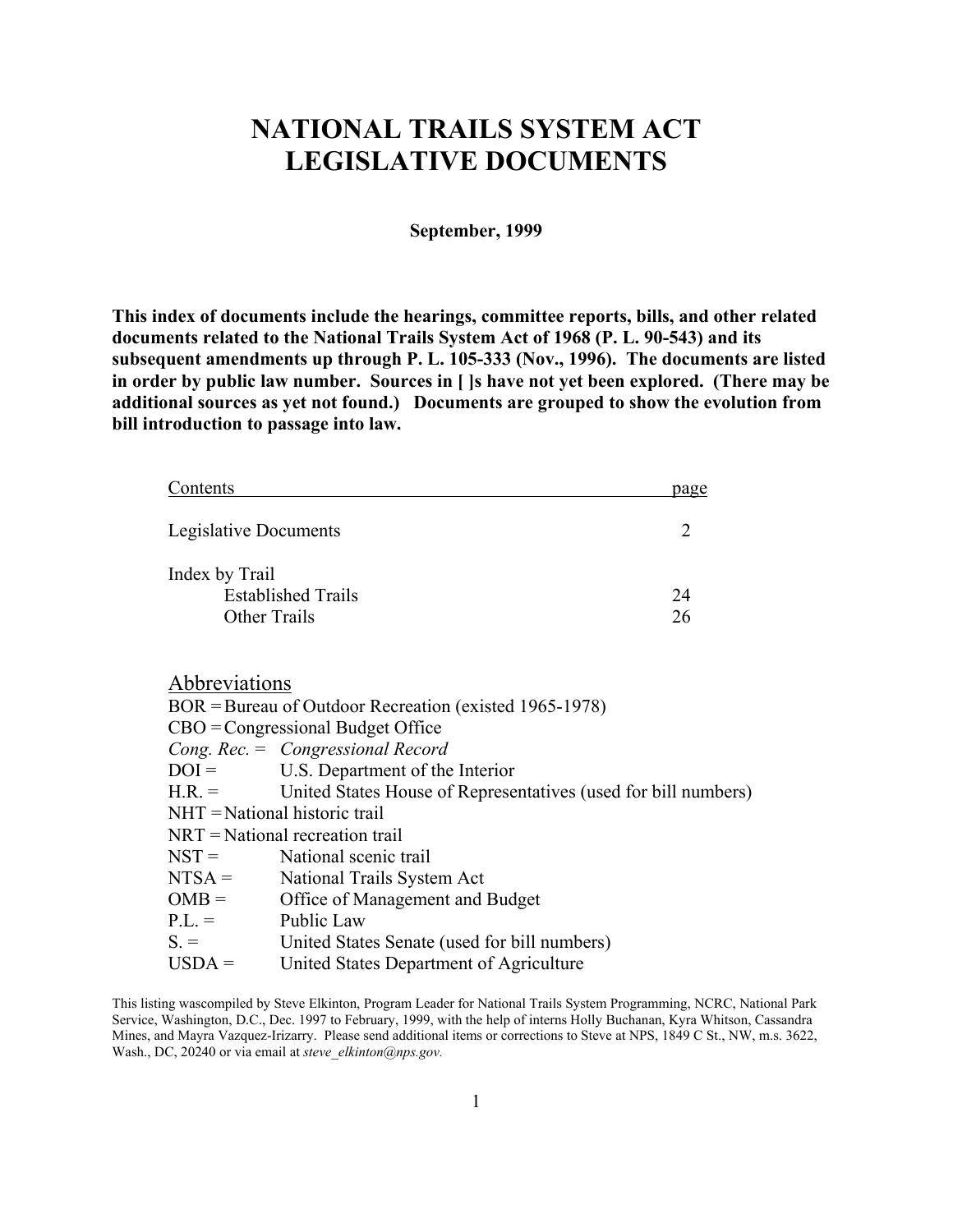# **NATIONAL TRAILS SYSTEM ACT LEGISLATIVE DOCUMENTS**

## **September, 1999**

**This index of documents include the hearings, committee reports, bills, and other related documents related to the National Trails System Act of 1968 (P. L. 90-543) and its subsequent amendments up through P. L. 105-333 (Nov., 1996). The documents are listed in order by public law number. Sources in [ ]s have not yet been explored. (There may be additional sources as yet not found.) Documents are grouped to show the evolution from bill introduction to passage into law.**

| Contents                          |                                                                | page           |  |  |
|-----------------------------------|----------------------------------------------------------------|----------------|--|--|
| Legislative Documents             |                                                                | $\overline{2}$ |  |  |
| Index by Trail                    |                                                                |                |  |  |
| <b>Established Trails</b>         |                                                                | 24             |  |  |
| Other Trails                      |                                                                | 26             |  |  |
|                                   |                                                                |                |  |  |
| Abbreviations                     |                                                                |                |  |  |
|                                   | BOR = Bureau of Outdoor Recreation (existed 1965-1978)         |                |  |  |
|                                   | $CBO =$ Congressional Budget Office                            |                |  |  |
|                                   | Cong. $Rec = Congressional Record$                             |                |  |  |
| $DOI =$                           | U.S. Department of the Interior                                |                |  |  |
| $H.R. =$                          | United States House of Representatives (used for bill numbers) |                |  |  |
| $NHT = National historic trail$   |                                                                |                |  |  |
| $NRT$ = National recreation trail |                                                                |                |  |  |
| $NST =$                           | National scenic trail                                          |                |  |  |
| $NTSA =$                          | National Trails System Act                                     |                |  |  |
| $OMB =$                           | Office of Management and Budget                                |                |  |  |
| P.L.                              | Public Law                                                     |                |  |  |
| $S =$                             | United States Senate (used for bill numbers)                   |                |  |  |
| $USDA =$                          | United States Department of Agriculture                        |                |  |  |

This listing wascompiled by Steve Elkinton, Program Leader for National Trails System Programming, NCRC, National Park Service, Washington, D.C., Dec. 1997 to February, 1999, with the help of interns Holly Buchanan, Kyra Whitson, Cassandra Mines, and Mayra Vazquez-Irizarry. Please send additional items or corrections to Steve at NPS, 1849 C St., NW, m.s. 3622, Wash., DC, 20240 or via email at *steve\_elkinton@nps.gov.*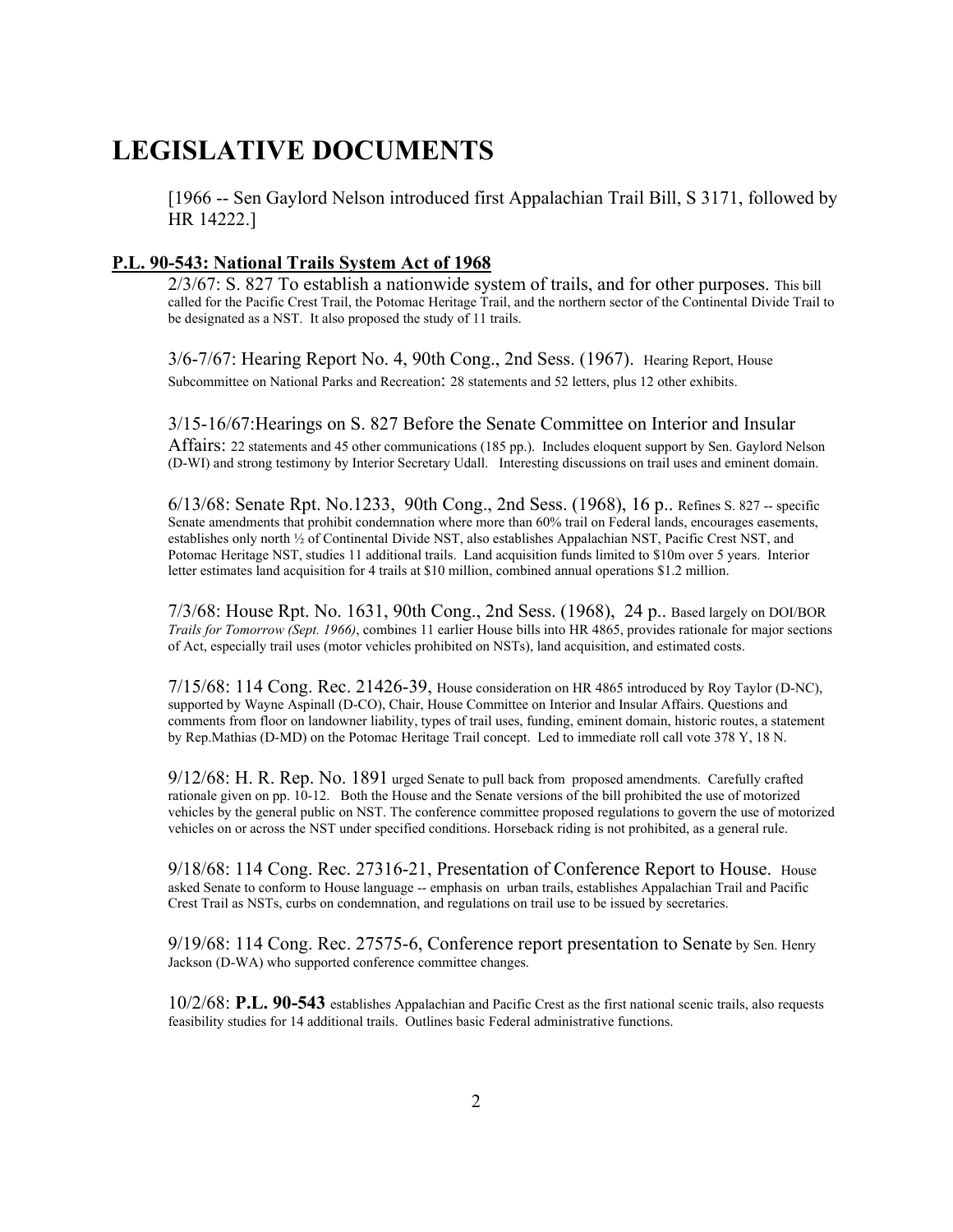# **LEGISLATIVE DOCUMENTS**

[1966 -- Sen Gaylord Nelson introduced first Appalachian Trail Bill, S 3171, followed by HR 14222.]

#### **P.L. 90-543: National Trails System Act of 1968**

2/3/67: S. 827 To establish a nationwide system of trails, and for other purposes. This bill called for the Pacific Crest Trail, the Potomac Heritage Trail, and the northern sector of the Continental Divide Trail to be designated as a NST. It also proposed the study of 11 trails.

3/6-7/67: Hearing Report No. 4, 90th Cong., 2nd Sess. (1967). Hearing Report, House Subcommittee on National Parks and Recreation: 28 statements and 52 letters, plus 12 other exhibits.

#### 3/15-16/67:Hearings on S. 827 Before the Senate Committee on Interior and Insular

Affairs: 22 statements and 45 other communications (185 pp.). Includes eloquent support by Sen. Gaylord Nelson (D-WI) and strong testimony by Interior Secretary Udall. Interesting discussions on trail uses and eminent domain.

6/13/68: Senate Rpt. No.1233, 90th Cong., 2nd Sess. (1968), 16 p.. Refines S. 827 -- specific Senate amendments that prohibit condemnation where more than 60% trail on Federal lands, encourages easements, establishes only north ½ of Continental Divide NST, also establishes Appalachian NST, Pacific Crest NST, and Potomac Heritage NST, studies 11 additional trails. Land acquisition funds limited to \$10m over 5 years. Interior letter estimates land acquisition for 4 trails at \$10 million, combined annual operations \$1.2 million.

7/3/68: House Rpt. No. 1631, 90th Cong., 2nd Sess. (1968), 24 p.. Based largely on DOI/BOR *Trails for Tomorrow (Sept. 1966)*, combines 11 earlier House bills into HR 4865, provides rationale for major sections of Act, especially trail uses (motor vehicles prohibited on NSTs), land acquisition, and estimated costs.

7/15/68: 114 Cong. Rec. 21426-39, House consideration on HR 4865 introduced by Roy Taylor (D-NC), supported by Wayne Aspinall (D-CO), Chair, House Committee on Interior and Insular Affairs. Questions and comments from floor on landowner liability, types of trail uses, funding, eminent domain, historic routes, a statement by Rep.Mathias (D-MD) on the Potomac Heritage Trail concept. Led to immediate roll call vote 378 Y, 18 N.

9/12/68: H. R. Rep. No. 1891 urged Senate to pull back from proposed amendments. Carefully crafted rationale given on pp. 10-12. Both the House and the Senate versions of the bill prohibited the use of motorized vehicles by the general public on NST. The conference committee proposed regulations to govern the use of motorized vehicles on or across the NST under specified conditions. Horseback riding is not prohibited, as a general rule.

9/18/68: 114 Cong. Rec. 27316-21, Presentation of Conference Report to House. House asked Senate to conform to House language -- emphasis on urban trails, establishes Appalachian Trail and Pacific Crest Trail as NSTs, curbs on condemnation, and regulations on trail use to be issued by secretaries.

9/19/68: 114 Cong. Rec. 27575-6, Conference report presentation to Senate by Sen. Henry Jackson (D-WA) who supported conference committee changes.

10/2/68: **P.L. 90-543** establishes Appalachian and Pacific Crest as the first national scenic trails, also requests feasibility studies for 14 additional trails. Outlines basic Federal administrative functions.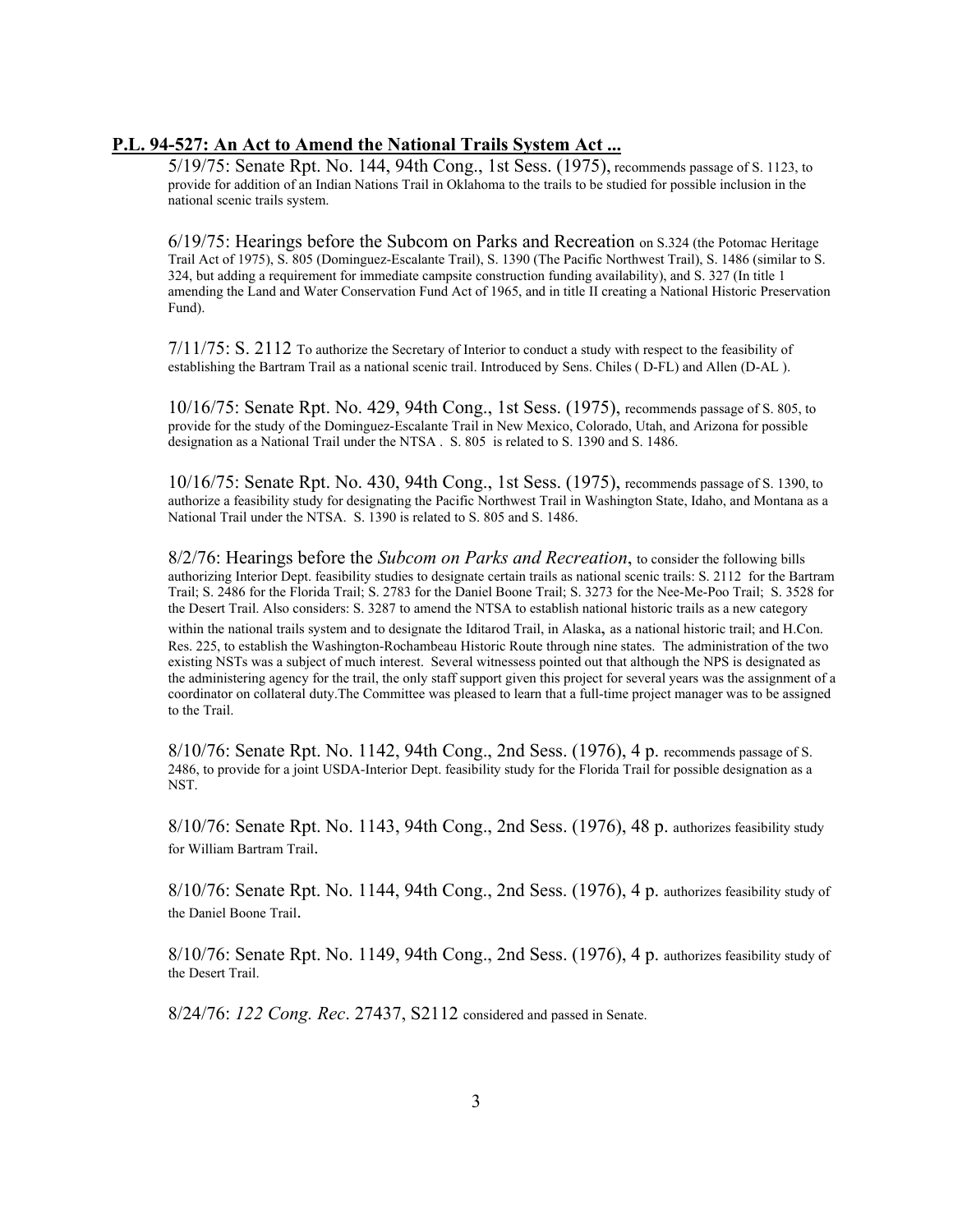## **P.L. 94-527: An Act to Amend the National Trails System Act ...**

5/19/75: Senate Rpt. No. 144, 94th Cong., 1st Sess. (1975), recommends passage of S. 1123, to provide for addition of an Indian Nations Trail in Oklahoma to the trails to be studied for possible inclusion in the national scenic trails system.

6/19/75: Hearings before the Subcom on Parks and Recreation on S.324 (the Potomac Heritage Trail Act of 1975), S. 805 (Dominguez-Escalante Trail), S. 1390 (The Pacific Northwest Trail), S. 1486 (similar to S. 324, but adding a requirement for immediate campsite construction funding availability), and S. 327 (In title 1 amending the Land and Water Conservation Fund Act of 1965, and in title II creating a National Historic Preservation Fund).

 $7/11/75$ : S. 2112 To authorize the Secretary of Interior to conduct a study with respect to the feasibility of establishing the Bartram Trail as a national scenic trail. Introduced by Sens. Chiles ( D-FL) and Allen (D-AL ).

10/16/75: Senate Rpt. No. 429, 94th Cong., 1st Sess. (1975), recommends passage of S. 805, to provide for the study of the Dominguez-Escalante Trail in New Mexico, Colorado, Utah, and Arizona for possible designation as a National Trail under the NTSA . S. 805 is related to S. 1390 and S. 1486.

10/16/75: Senate Rpt. No. 430, 94th Cong., 1st Sess. (1975), recommends passage of S. 1390, to authorize a feasibility study for designating the Pacific Northwest Trail in Washington State, Idaho, and Montana as a National Trail under the NTSA. S. 1390 is related to S. 805 and S. 1486.

8/2/76: Hearings before the *Subcom on Parks and Recreation*, to consider the following bills authorizing Interior Dept. feasibility studies to designate certain trails as national scenic trails: S. 2112 for the Bartram Trail; S. 2486 for the Florida Trail; S. 2783 for the Daniel Boone Trail; S. 3273 for the Nee-Me-Poo Trail; S. 3528 for the Desert Trail. Also considers: S. 3287 to amend the NTSA to establish national historic trails as a new category

within the national trails system and to designate the Iditarod Trail, in Alaska, as a national historic trail; and H.Con. Res. 225, to establish the Washington-Rochambeau Historic Route through nine states. The administration of the two existing NSTs was a subject of much interest. Several witnessess pointed out that although the NPS is designated as the administering agency for the trail, the only staff support given this project for several years was the assignment of a coordinator on collateral duty.The Committee was pleased to learn that a full-time project manager was to be assigned to the Trail.

8/10/76: Senate Rpt. No. 1142, 94th Cong., 2nd Sess. (1976), 4 p. recommends passage of S. 2486, to provide for a joint USDA-Interior Dept. feasibility study for the Florida Trail for possible designation as a NST.

8/10/76: Senate Rpt. No. 1143, 94th Cong., 2nd Sess. (1976), 48 p. authorizes feasibility study for William Bartram Trail.

 8/10/76: Senate Rpt. No. 1144, 94th Cong., 2nd Sess. (1976), 4 p. authorizes feasibility study of the Daniel Boone Trail.

8/10/76: Senate Rpt. No. 1149, 94th Cong., 2nd Sess. (1976), 4 p. authorizes feasibility study of the Desert Trail.

8/24/76: *122 Cong. Rec*. 27437, S2112 considered and passed in Senate.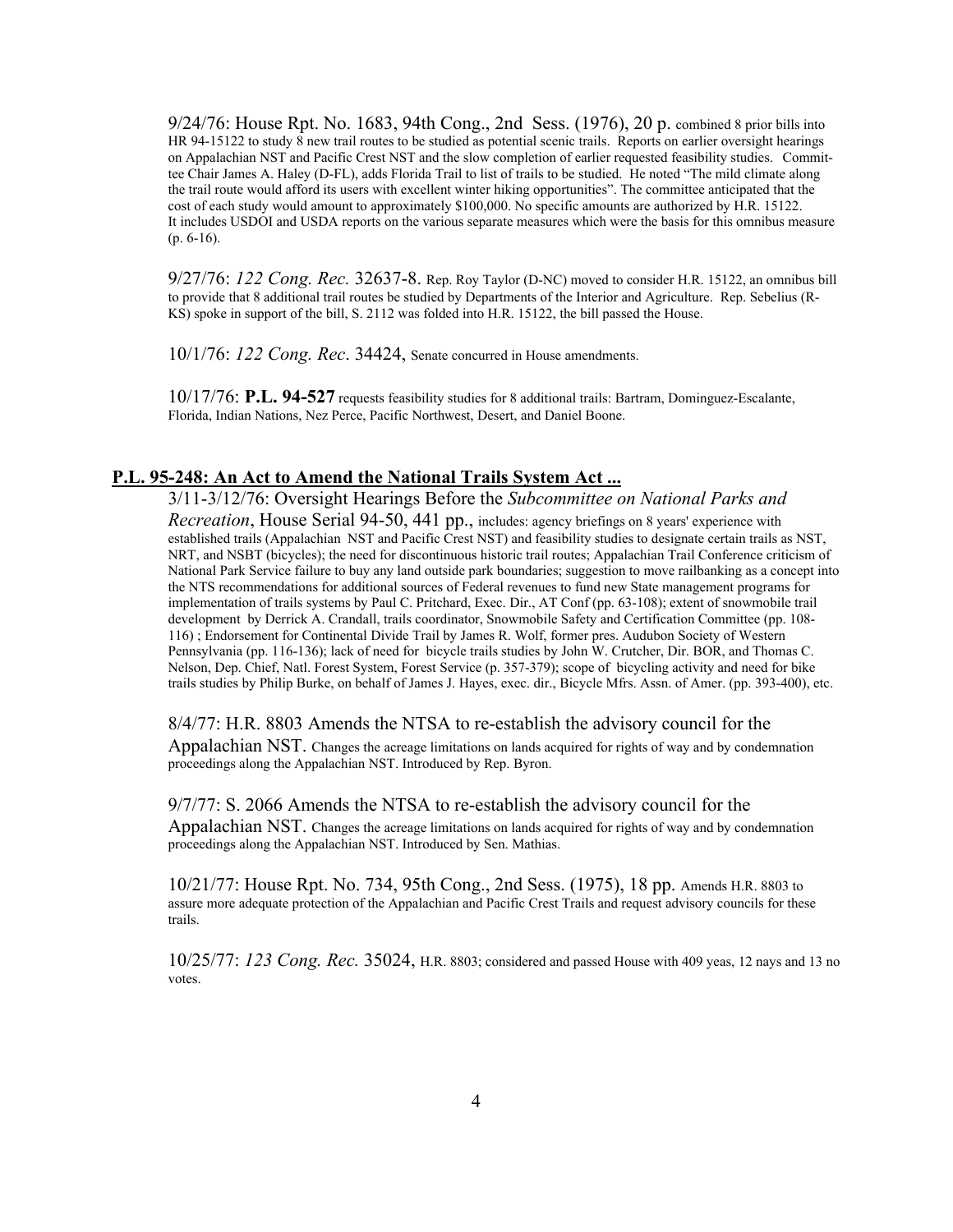9/24/76: House Rpt. No. 1683, 94th Cong., 2nd Sess. (1976), 20 p. combined 8 prior bills into HR 94-15122 to study 8 new trail routes to be studied as potential scenic trails. Reports on earlier oversight hearings on Appalachian NST and Pacific Crest NST and the slow completion of earlier requested feasibility studies. Committee Chair James A. Haley (D-FL), adds Florida Trail to list of trails to be studied. He noted "The mild climate along the trail route would afford its users with excellent winter hiking opportunities". The committee anticipated that the cost of each study would amount to approximately \$100,000. No specific amounts are authorized by H.R. 15122. It includes USDOI and USDA reports on the various separate measures which were the basis for this omnibus measure (p. 6-16).

9/27/76: *122 Cong. Rec.* 32637-8. Rep. Roy Taylor (D-NC) moved to consider H.R. 15122, an omnibus bill to provide that 8 additional trail routes be studied by Departments of the Interior and Agriculture. Rep. Sebelius (R-KS) spoke in support of the bill, S. 2112 was folded into H.R. 15122, the bill passed the House.

10/1/76: *122 Cong. Rec*. 34424, Senate concurred in House amendments.

10/17/76: **P.L. 94-527** requests feasibility studies for 8 additional trails: Bartram, Dominguez-Escalante, Florida, Indian Nations, Nez Perce, Pacific Northwest, Desert, and Daniel Boone.

#### **P.L. 95-248: An Act to Amend the National Trails System Act ...**

proceedings along the Appalachian NST. Introduced by Sen. Mathias.

3/11-3/12/76: Oversight Hearings Before the *Subcommittee on National Parks and Recreation*, House Serial 94-50, 441 pp., includes: agency briefings on 8 years' experience with established trails (Appalachian NST and Pacific Crest NST) and feasibility studies to designate certain trails as NST, NRT, and NSBT (bicycles); the need for discontinuous historic trail routes; Appalachian Trail Conference criticism of National Park Service failure to buy any land outside park boundaries; suggestion to move railbanking as a concept into the NTS recommendations for additional sources of Federal revenues to fund new State management programs for implementation of trails systems by Paul C. Pritchard, Exec. Dir., AT Conf (pp. 63-108); extent of snowmobile trail development by Derrick A. Crandall, trails coordinator, Snowmobile Safety and Certification Committee (pp. 108- 116) ; Endorsement for Continental Divide Trail by James R. Wolf, former pres. Audubon Society of Western Pennsylvania (pp. 116-136); lack of need for bicycle trails studies by John W. Crutcher, Dir. BOR, and Thomas C. Nelson, Dep. Chief, Natl. Forest System, Forest Service (p. 357-379); scope of bicycling activity and need for bike trails studies by Philip Burke, on behalf of James J. Hayes, exec. dir., Bicycle Mfrs. Assn. of Amer. (pp. 393-400), etc.

#### 8/4/77: H.R. 8803 Amends the NTSA to re-establish the advisory council for the

 Appalachian NST. Changes the acreage limitations on lands acquired for rights of way and by condemnation proceedings along the Appalachian NST. Introduced by Rep. Byron.

## 9/7/77: S. 2066 Amends the NTSA to re-establish the advisory council for the Appalachian NST. Changes the acreage limitations on lands acquired for rights of way and by condemnation

10/21/77: House Rpt. No. 734, 95th Cong., 2nd Sess. (1975), 18 pp. Amends H.R. 8803 to assure more adequate protection of the Appalachian and Pacific Crest Trails and request advisory councils for these trails.

10/25/77: *123 Cong. Rec.* 35024, H.R. 8803; considered and passed House with 409 yeas, 12 nays and 13 no votes.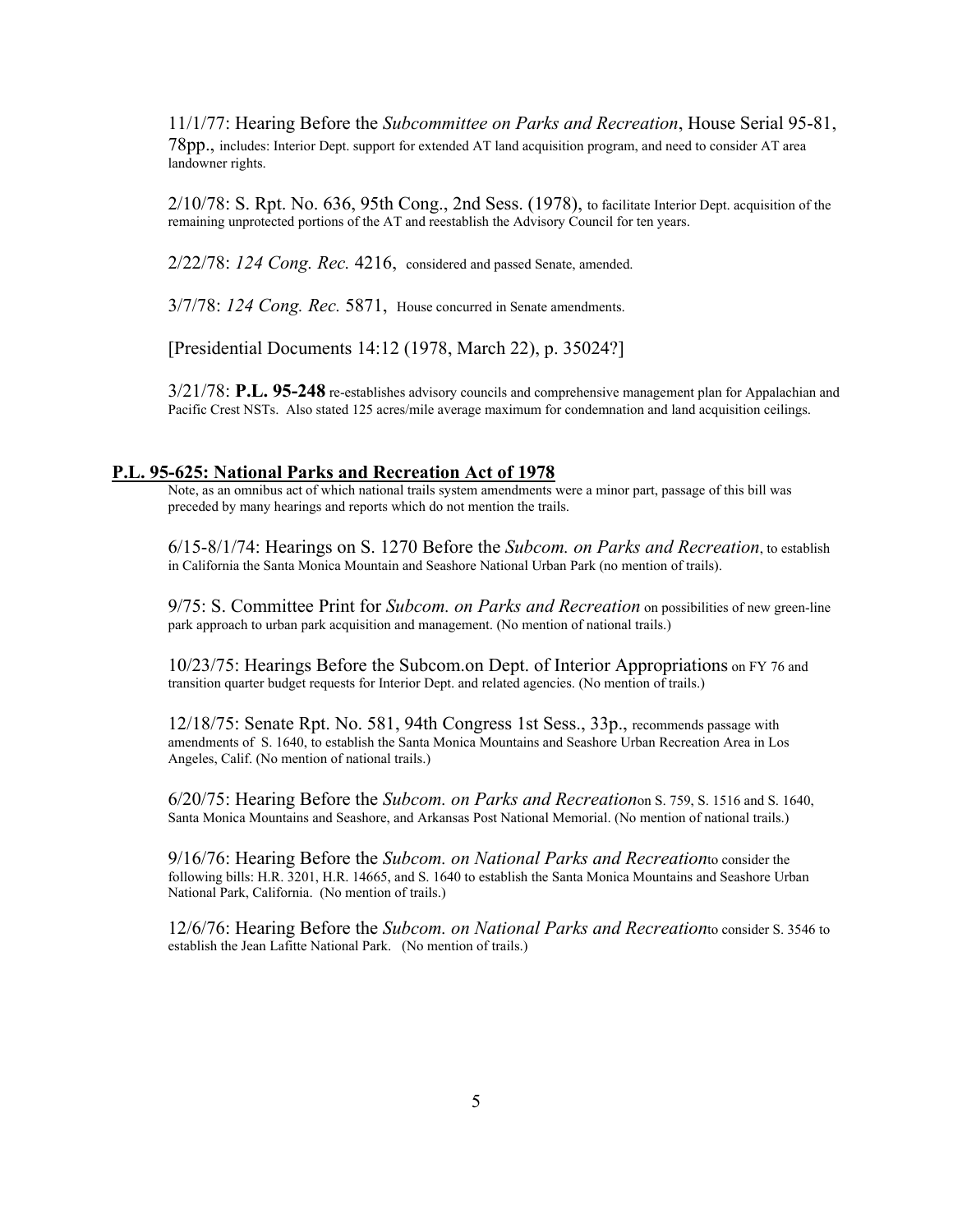11/1/77: Hearing Before the *Subcommittee on Parks and Recreation*, House Serial 95-81, 78pp., includes: Interior Dept. support for extended AT land acquisition program, and need to consider AT area landowner rights.

2/10/78: S. Rpt. No. 636, 95th Cong., 2nd Sess. (1978), to facilitate Interior Dept. acquisition of the remaining unprotected portions of the AT and reestablish the Advisory Council for ten years.

2/22/78: *124 Cong. Rec.* 4216, considered and passed Senate, amended.

3/7/78: *124 Cong. Rec.* 5871, House concurred in Senate amendments.

[Presidential Documents 14:12 (1978, March 22), p. 35024?]

3/21/78: **P.L. 95-248** re-establishes advisory councils and comprehensive management plan for Appalachian and Pacific Crest NSTs. Also stated 125 acres/mile average maximum for condemnation and land acquisition ceilings.

#### **P.L. 95-625: National Parks and Recreation Act of 1978**

Note, as an omnibus act of which national trails system amendments were a minor part, passage of this bill was preceded by many hearings and reports which do not mention the trails.

6/15-8/1/74: Hearings on S. 1270 Before the *Subcom. on Parks and Recreation*, to establish in California the Santa Monica Mountain and Seashore National Urban Park (no mention of trails).

9/75: S. Committee Print for *Subcom. on Parks and Recreation* on possibilities of new green-line park approach to urban park acquisition and management. (No mention of national trails.)

10/23/75: Hearings Before the Subcom.on Dept. of Interior Appropriations on FY 76 and transition quarter budget requests for Interior Dept. and related agencies. (No mention of trails.)

12/18/75: Senate Rpt. No. 581, 94th Congress 1st Sess., 33p., recommends passage with amendments of S. 1640, to establish the Santa Monica Mountains and Seashore Urban Recreation Area in Los Angeles, Calif. (No mention of national trails.)

6/20/75: Hearing Before the *Subcom. on Parks and Recreation*on S. 759, S. 1516 and S. 1640, Santa Monica Mountains and Seashore, and Arkansas Post National Memorial. (No mention of national trails.)

9/16/76: Hearing Before the *Subcom. on National Parks and Recreation*to consider the following bills: H.R. 3201, H.R. 14665, and S. 1640 to establish the Santa Monica Mountains and Seashore Urban National Park, California. (No mention of trails.)

12/6/76: Hearing Before the *Subcom. on National Parks and Recreation*to consider S. 3546 to establish the Jean Lafitte National Park. (No mention of trails.)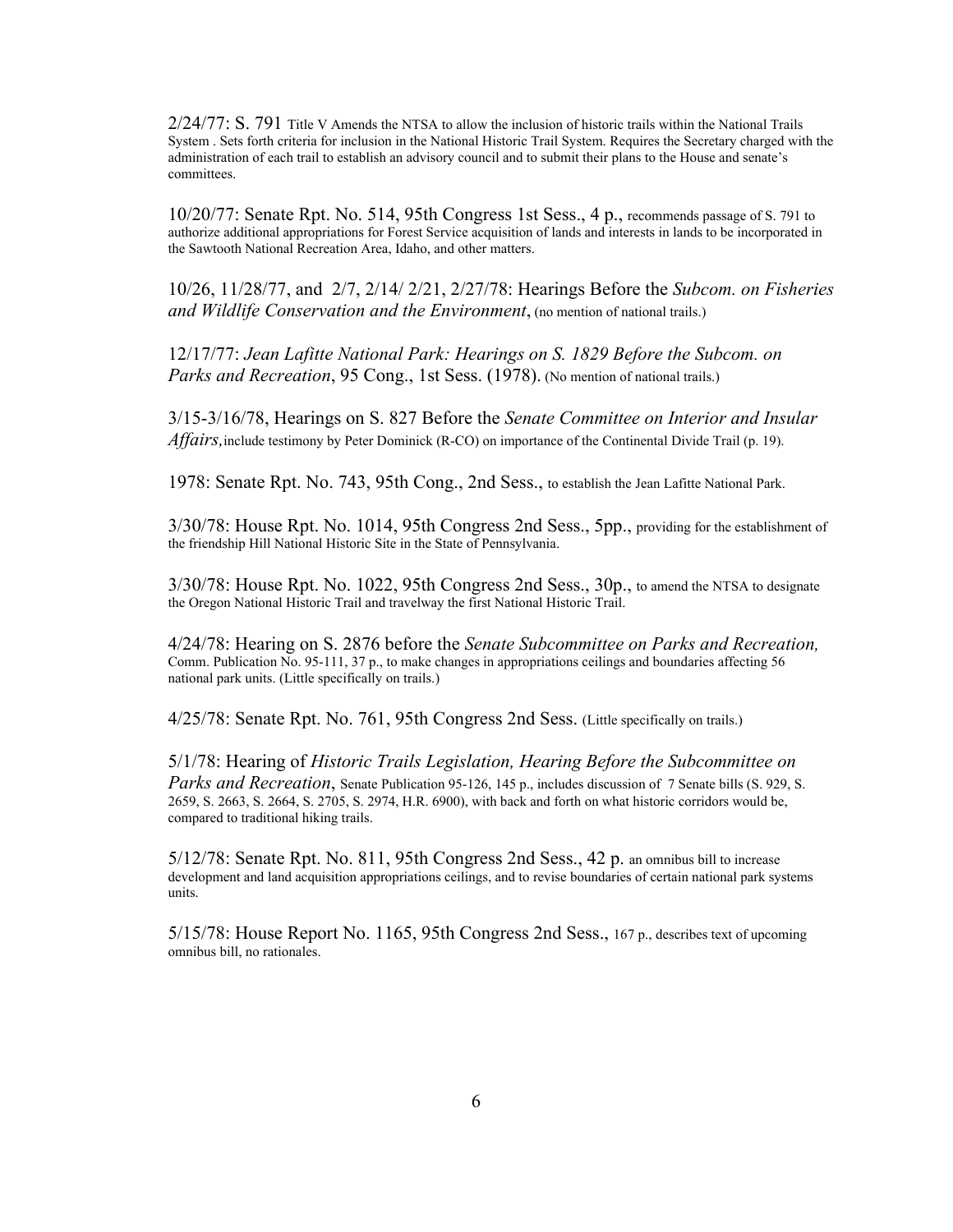2/24/77: S. 791 Title V Amends the NTSA to allow the inclusion of historic trails within the National Trails System . Sets forth criteria for inclusion in the National Historic Trail System. Requires the Secretary charged with the administration of each trail to establish an advisory council and to submit their plans to the House and senate's committees.

10/20/77: Senate Rpt. No. 514, 95th Congress 1st Sess., 4 p., recommends passage of S. 791 to authorize additional appropriations for Forest Service acquisition of lands and interests in lands to be incorporated in the Sawtooth National Recreation Area, Idaho, and other matters.

10/26, 11/28/77, and 2/7, 2/14/ 2/21, 2/27/78: Hearings Before the *Subcom. on Fisheries and Wildlife Conservation and the Environment*, (no mention of national trails.)

12/17/77: *Jean Lafitte National Park: Hearings on S. 1829 Before the Subcom. on Parks and Recreation*, 95 Cong., 1st Sess. (1978). (No mention of national trails.)

3/15-3/16/78, Hearings on S. 827 Before the *Senate Committee on Interior and Insular Affairs,*include testimony by Peter Dominick (R-CO) on importance of the Continental Divide Trail (p. 19).

1978: Senate Rpt. No. 743, 95th Cong., 2nd Sess., to establish the Jean Lafitte National Park.

3/30/78: House Rpt. No. 1014, 95th Congress 2nd Sess., 5pp., providing for the establishment of the friendship Hill National Historic Site in the State of Pennsylvania.

3/30/78: House Rpt. No. 1022, 95th Congress 2nd Sess., 30p., to amend the NTSA to designate the Oregon National Historic Trail and travelway the first National Historic Trail.

4/24/78: Hearing on S. 2876 before the *Senate Subcommittee on Parks and Recreation,* Comm. Publication No. 95-111, 37 p., to make changes in appropriations ceilings and boundaries affecting 56 national park units. (Little specifically on trails.)

4/25/78: Senate Rpt. No. 761, 95th Congress 2nd Sess. (Little specifically on trails.)

5/1/78: Hearing of *Historic Trails Legislation, Hearing Before the Subcommittee on Parks and Recreation*, Senate Publication 95-126, 145 p., includes discussion of 7 Senate bills (S. 929, S. 2659, S. 2663, S. 2664, S. 2705, S. 2974, H.R. 6900), with back and forth on what historic corridors would be, compared to traditional hiking trails.

5/12/78: Senate Rpt. No. 811, 95th Congress 2nd Sess., 42 p. an omnibus bill to increase development and land acquisition appropriations ceilings, and to revise boundaries of certain national park systems units.

5/15/78: House Report No. 1165, 95th Congress 2nd Sess., 167 p., describes text of upcoming omnibus bill, no rationales.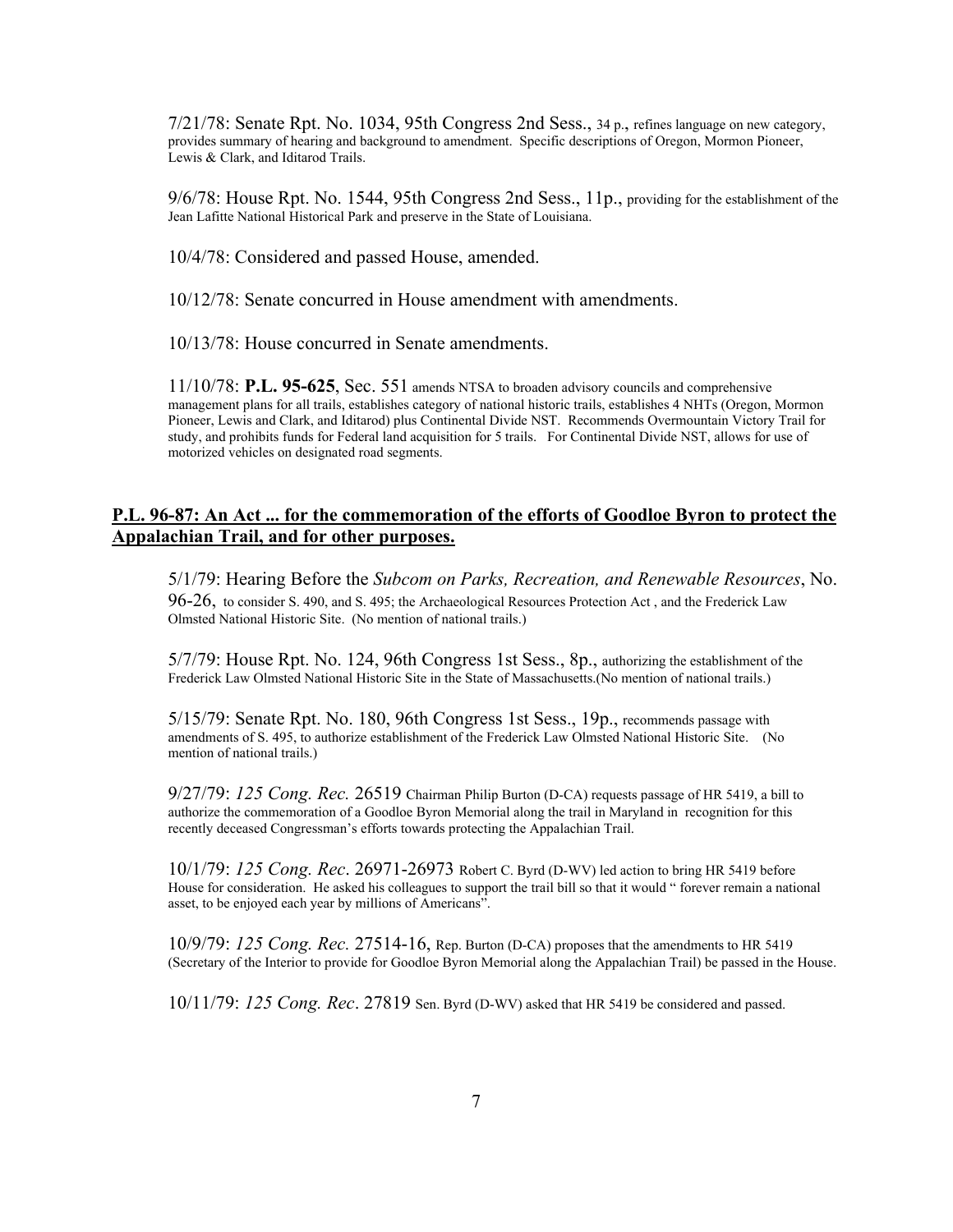7/21/78: Senate Rpt. No. 1034, 95th Congress 2nd Sess., 34 p., refines language on new category, provides summary of hearing and background to amendment. Specific descriptions of Oregon, Mormon Pioneer, Lewis & Clark, and Iditarod Trails.

9/6/78: House Rpt. No. 1544, 95th Congress 2nd Sess., 11p., providing for the establishment of the Jean Lafitte National Historical Park and preserve in the State of Louisiana.

10/4/78: Considered and passed House, amended.

10/12/78: Senate concurred in House amendment with amendments.

10/13/78: House concurred in Senate amendments.

11/10/78: **P.L. 95-625**, Sec. 551 amends NTSA to broaden advisory councils and comprehensive management plans for all trails, establishes category of national historic trails, establishes 4 NHTs (Oregon, Mormon Pioneer, Lewis and Clark, and Iditarod) plus Continental Divide NST. Recommends Overmountain Victory Trail for study, and prohibits funds for Federal land acquisition for 5 trails. For Continental Divide NST, allows for use of motorized vehicles on designated road segments.

## **P.L. 96-87: An Act ... for the commemoration of the efforts of Goodloe Byron to protect the Appalachian Trail, and for other purposes.**

5/1/79: Hearing Before the *Subcom on Parks, Recreation, and Renewable Resources*, No. 96-26, to consider S. 490, and S. 495; the Archaeological Resources Protection Act , and the Frederick Law Olmsted National Historic Site. (No mention of national trails.)

5/7/79: House Rpt. No. 124, 96th Congress 1st Sess., 8p., authorizing the establishment of the Frederick Law Olmsted National Historic Site in the State of Massachusetts.(No mention of national trails.)

5/15/79: Senate Rpt. No. 180, 96th Congress 1st Sess., 19p., recommends passage with amendments of S. 495, to authorize establishment of the Frederick Law Olmsted National Historic Site. (No mention of national trails.)

9/27/79: *125 Cong. Rec.* 26519 Chairman Philip Burton (D-CA) requests passage of HR 5419, a bill to authorize the commemoration of a Goodloe Byron Memorial along the trail in Maryland in recognition for this recently deceased Congressman's efforts towards protecting the Appalachian Trail.

10/1/79: *125 Cong. Rec*. 26971-26973 Robert C. Byrd (D-WV) led action to bring HR 5419 before House for consideration. He asked his colleagues to support the trail bill so that it would " forever remain a national asset, to be enjoyed each year by millions of Americans".

10/9/79: *125 Cong. Rec.* 27514-16, Rep. Burton (D-CA) proposes that the amendments to HR 5419 (Secretary of the Interior to provide for Goodloe Byron Memorial along the Appalachian Trail) be passed in the House.

10/11/79: *125 Cong. Rec*. 27819 Sen. Byrd (D-WV) asked that HR 5419 be considered and passed.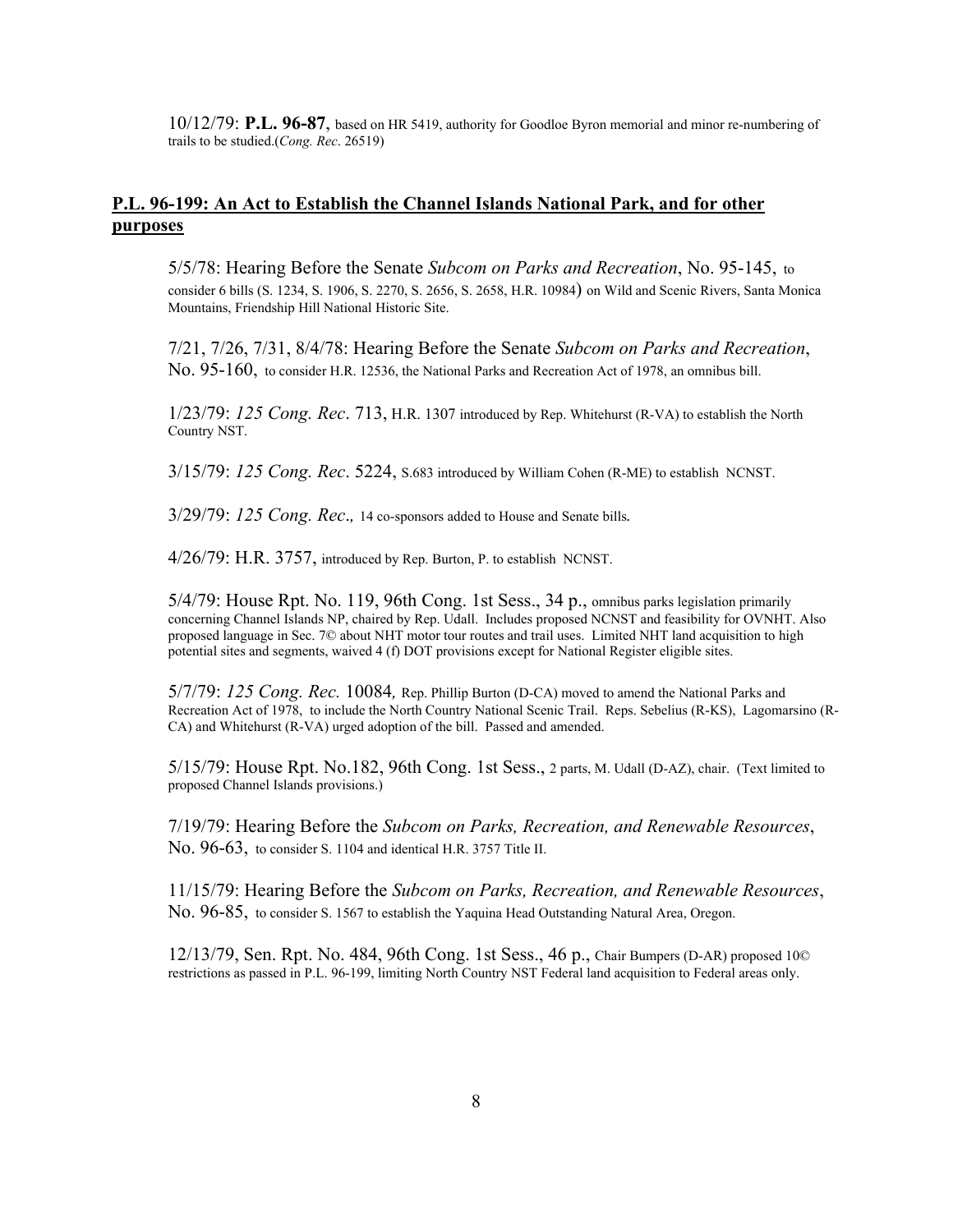10/12/79: **P.L. 96-87**, based on HR 5419, authority for Goodloe Byron memorial and minor re-numbering of trails to be studied.(*Cong. Rec*. 26519)

## **P.L. 96-199: An Act to Establish the Channel Islands National Park, and for other purposes**

5/5/78: Hearing Before the Senate *Subcom on Parks and Recreation*, No. 95-145, to consider 6 bills (S. 1234, S. 1906, S. 2270, S. 2656, S. 2658, H.R. 10984) on Wild and Scenic Rivers, Santa Monica Mountains, Friendship Hill National Historic Site.

7/21, 7/26, 7/31, 8/4/78: Hearing Before the Senate *Subcom on Parks and Recreation*, No. 95-160, to consider H.R. 12536, the National Parks and Recreation Act of 1978, an omnibus bill.

1/23/79: *125 Cong. Rec*. 713, H.R. 1307 introduced by Rep. Whitehurst (R-VA) to establish the North Country NST.

3/15/79: *125 Cong. Rec*. 5224, S.683 introduced by William Cohen (R-ME) to establish NCNST.

3/29/79: *125 Cong. Rec*.*,* 14 co-sponsors added to House and Senate bills*.* 

4/26/79: H.R. 3757, introduced by Rep. Burton, P. to establish NCNST.

5/4/79: House Rpt. No. 119, 96th Cong. 1st Sess., 34 p., omnibus parks legislation primarily concerning Channel Islands NP, chaired by Rep. Udall. Includes proposed NCNST and feasibility for OVNHT. Also proposed language in Sec. 7© about NHT motor tour routes and trail uses. Limited NHT land acquisition to high potential sites and segments, waived 4 (f) DOT provisions except for National Register eligible sites.

5/7/79: *125 Cong. Rec.* 10084*,* Rep. Phillip Burton (D-CA) moved to amend the National Parks and Recreation Act of 1978, to include the North Country National Scenic Trail. Reps. Sebelius (R-KS), Lagomarsino (R-CA) and Whitehurst (R-VA) urged adoption of the bill. Passed and amended.

5/15/79: House Rpt. No.182, 96th Cong. 1st Sess., 2 parts, M. Udall (D-AZ), chair. (Text limited to proposed Channel Islands provisions.)

7/19/79: Hearing Before the *Subcom on Parks, Recreation, and Renewable Resources*, No. 96-63, to consider S. 1104 and identical H.R. 3757 Title II.

11/15/79: Hearing Before the *Subcom on Parks, Recreation, and Renewable Resources*, No. 96-85, to consider S. 1567 to establish the Yaquina Head Outstanding Natural Area, Oregon.

12/13/79, Sen. Rpt. No. 484, 96th Cong. 1st Sess., 46 p., Chair Bumpers (D-AR) proposed 10© restrictions as passed in P.L. 96-199, limiting North Country NST Federal land acquisition to Federal areas only.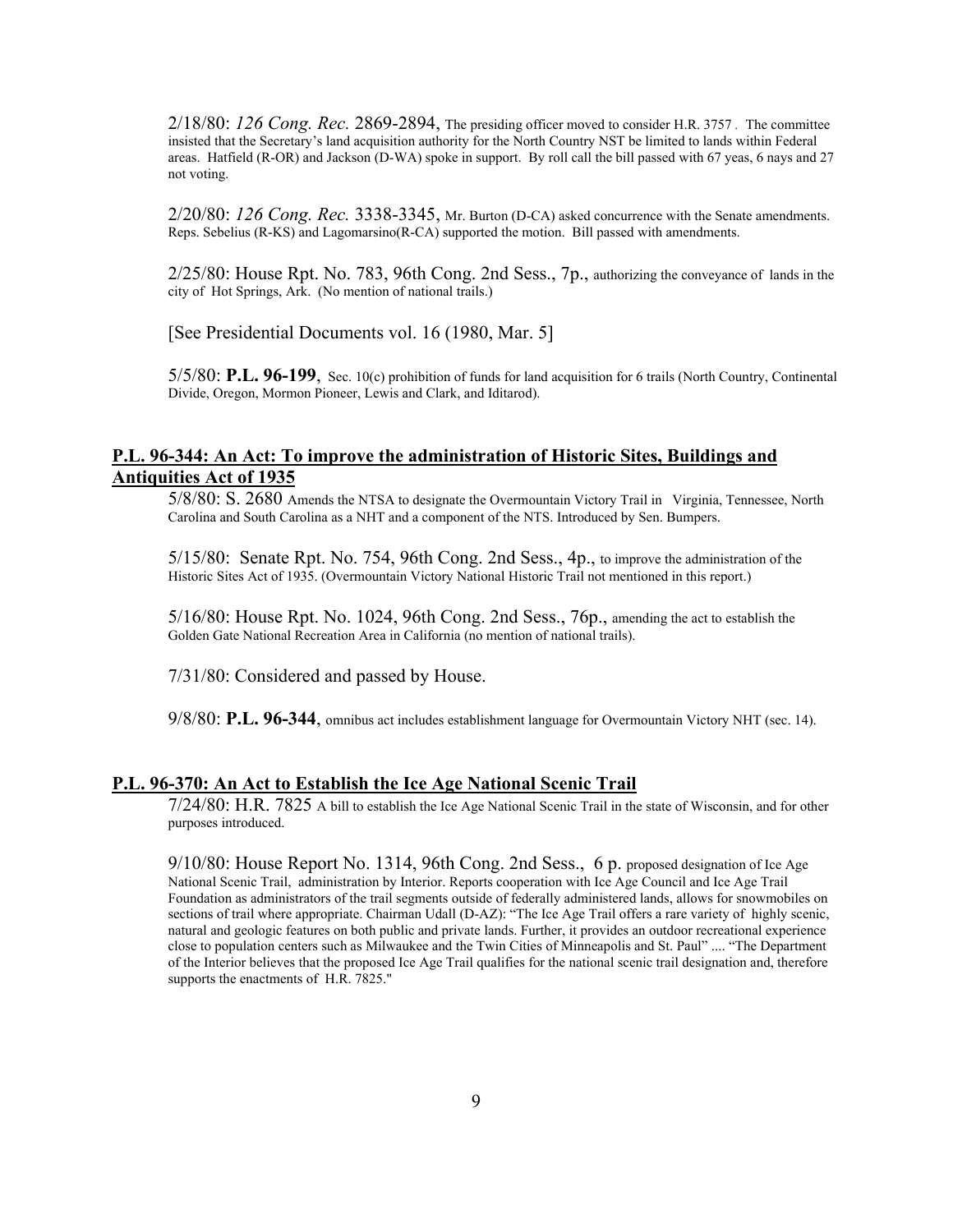2/18/80: *126 Cong. Rec.* 2869-2894, The presiding officer moved to consider H.R. 3757 *.* The committee insisted that the Secretary's land acquisition authority for the North Country NST be limited to lands within Federal areas. Hatfield (R-OR) and Jackson (D-WA) spoke in support. By roll call the bill passed with 67 yeas, 6 nays and 27 not voting.

2/20/80: *126 Cong. Rec.* 3338-3345, Mr. Burton (D-CA) asked concurrence with the Senate amendments. Reps. Sebelius (R-KS) and Lagomarsino(R-CA) supported the motion. Bill passed with amendments.

2/25/80: House Rpt. No. 783, 96th Cong. 2nd Sess., 7p., authorizing the conveyance of lands in the city of Hot Springs, Ark. (No mention of national trails.)

[See Presidential Documents vol. 16 (1980, Mar. 5]

5/5/80: **P.L. 96-199**, Sec. 10(c) prohibition of funds for land acquisition for 6 trails (North Country, Continental Divide, Oregon, Mormon Pioneer, Lewis and Clark, and Iditarod).

## **P.L. 96-344: An Act: To improve the administration of Historic Sites, Buildings and Antiquities Act of 1935**

5/8/80: S. 2680 Amends the NTSA to designate the Overmountain Victory Trail in Virginia, Tennessee, North Carolina and South Carolina as a NHT and a component of the NTS. Introduced by Sen. Bumpers.

5/15/80: Senate Rpt. No. 754, 96th Cong. 2nd Sess., 4p., to improve the administration of the Historic Sites Act of 1935. (Overmountain Victory National Historic Trail not mentioned in this report.)

5/16/80: House Rpt. No. 1024, 96th Cong. 2nd Sess., 76p., amending the act to establish the Golden Gate National Recreation Area in California (no mention of national trails).

7/31/80: Considered and passed by House.

9/8/80: **P.L. 96-344**, omnibus act includes establishment language for Overmountain Victory NHT (sec. 14).

#### **P.L. 96-370: An Act to Establish the Ice Age National Scenic Trail**

7/24/80: H.R. 7825 A bill to establish the Ice Age National Scenic Trail in the state of Wisconsin, and for other purposes introduced.

9/10/80: House Report No. 1314, 96th Cong. 2nd Sess., 6 p. proposed designation of Ice Age National Scenic Trail, administration by Interior. Reports cooperation with Ice Age Council and Ice Age Trail Foundation as administrators of the trail segments outside of federally administered lands, allows for snowmobiles on sections of trail where appropriate. Chairman Udall (D-AZ): "The Ice Age Trail offers a rare variety of highly scenic, natural and geologic features on both public and private lands. Further, it provides an outdoor recreational experience close to population centers such as Milwaukee and the Twin Cities of Minneapolis and St. Paul" .... "The Department of the Interior believes that the proposed Ice Age Trail qualifies for the national scenic trail designation and, therefore supports the enactments of H.R. 7825."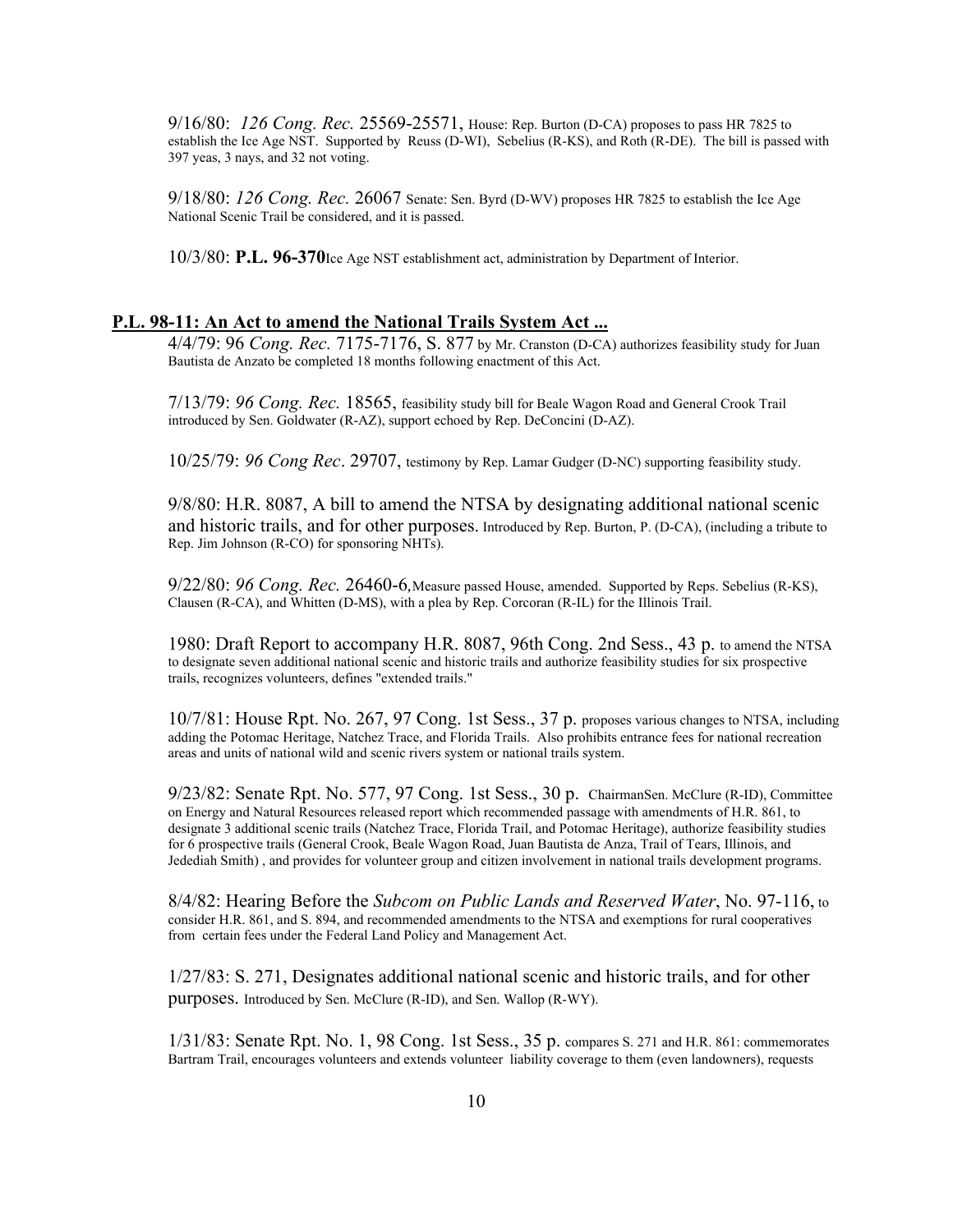9/16/80: *126 Cong. Rec.* 25569-25571, House: Rep. Burton (D-CA) proposes to pass HR 7825 to establish the Ice Age NST. Supported by Reuss (D-WI), Sebelius (R-KS), and Roth (R-DE). The bill is passed with 397 yeas, 3 nays, and 32 not voting.

9/18/80: *126 Cong. Rec.* 26067 Senate: Sen. Byrd (D-WV) proposes HR 7825 to establish the Ice Age National Scenic Trail be considered, and it is passed.

10/3/80: **P.L. 96-370**Ice Age NST establishment act, administration by Department of Interior.

#### **P.L. 98-11: An Act to amend the National Trails System Act ...**

4/4/79: 96 *Cong. Rec.* 7175-7176, S. 877 by Mr. Cranston (D-CA) authorizes feasibility study for Juan Bautista de Anzato be completed 18 months following enactment of this Act.

7/13/79: *96 Cong. Rec.* 18565, feasibility study bill for Beale Wagon Road and General Crook Trail introduced by Sen. Goldwater (R-AZ), support echoed by Rep. DeConcini (D-AZ).

10/25/79: *96 Cong Rec*. 29707, testimony by Rep. Lamar Gudger (D-NC) supporting feasibility study.

9/8/80: H.R. 8087, A bill to amend the NTSA by designating additional national scenic and historic trails, and for other purposes. Introduced by Rep. Burton, P. (D-CA), (including a tribute to Rep. Jim Johnson (R-CO) for sponsoring NHTs).

9/22/80: *96 Cong. Rec.* 26460-6*,*Measure passed House, amended. Supported by Reps. Sebelius (R-KS), Clausen (R-CA), and Whitten (D-MS), with a plea by Rep. Corcoran (R-IL) for the Illinois Trail.

1980: Draft Report to accompany H.R. 8087, 96th Cong. 2nd Sess., 43 p. to amend the NTSA to designate seven additional national scenic and historic trails and authorize feasibility studies for six prospective trails, recognizes volunteers, defines "extended trails."

10/7/81: House Rpt. No. 267, 97 Cong. 1st Sess., 37 p. proposes various changes to NTSA, including adding the Potomac Heritage, Natchez Trace, and Florida Trails. Also prohibits entrance fees for national recreation areas and units of national wild and scenic rivers system or national trails system.

9/23/82: Senate Rpt. No. 577, 97 Cong. 1st Sess., 30 p. ChairmanSen. McClure (R-ID), Committee on Energy and Natural Resources released report which recommended passage with amendments of H.R. 861, to designate 3 additional scenic trails (Natchez Trace, Florida Trail, and Potomac Heritage), authorize feasibility studies for 6 prospective trails (General Crook, Beale Wagon Road, Juan Bautista de Anza, Trail of Tears, Illinois, and Jedediah Smith) , and provides for volunteer group and citizen involvement in national trails development programs.

8/4/82: Hearing Before the *Subcom on Public Lands and Reserved Water*, No. 97-116, to consider H.R. 861, and S. 894, and recommended amendments to the NTSA and exemptions for rural cooperatives from certain fees under the Federal Land Policy and Management Act.

1/27/83: S. 271, Designates additional national scenic and historic trails, and for other purposes. Introduced by Sen. McClure (R-ID), and Sen. Wallop (R-WY).

1/31/83: Senate Rpt. No. 1, 98 Cong. 1st Sess., 35 p. compares S. 271 and H.R. 861: commemorates Bartram Trail, encourages volunteers and extends volunteer liability coverage to them (even landowners), requests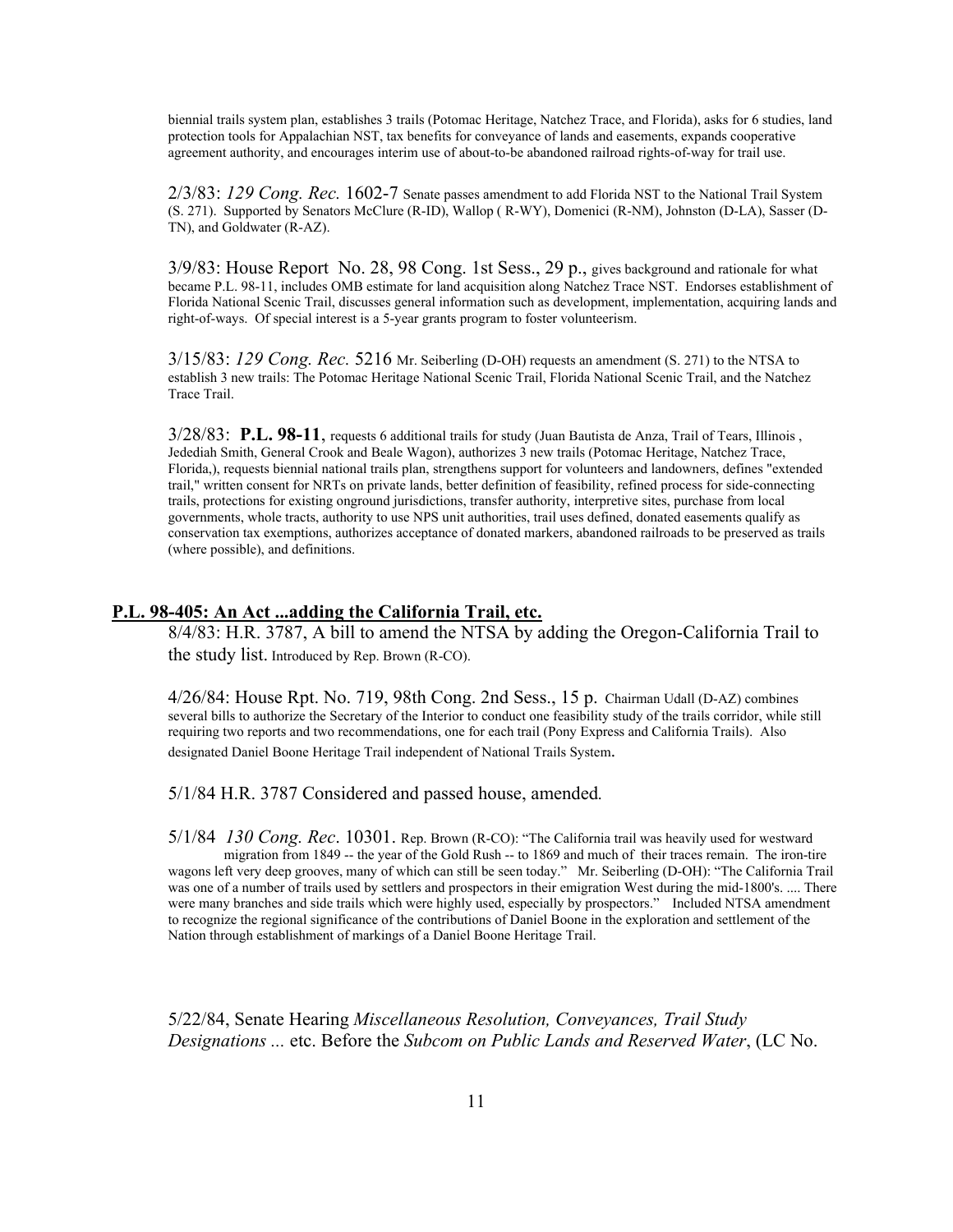biennial trails system plan, establishes 3 trails (Potomac Heritage, Natchez Trace, and Florida), asks for 6 studies, land protection tools for Appalachian NST, tax benefits for conveyance of lands and easements, expands cooperative agreement authority, and encourages interim use of about-to-be abandoned railroad rights-of-way for trail use.

2/3/83: *129 Cong. Rec.* 1602-7 Senate passes amendment to add Florida NST to the National Trail System (S. 271). Supported by Senators McClure (R-ID), Wallop ( R-WY), Domenici (R-NM), Johnston (D-LA), Sasser (D-TN), and Goldwater (R-AZ).

3/9/83: House Report No. 28, 98 Cong. 1st Sess., 29 p., gives background and rationale for what became P.L. 98-11, includes OMB estimate for land acquisition along Natchez Trace NST. Endorses establishment of Florida National Scenic Trail, discusses general information such as development, implementation, acquiring lands and right-of-ways. Of special interest is a 5-year grants program to foster volunteerism.

3/15/83: *129 Cong. Rec.* 5216 Mr. Seiberling (D-OH) requests an amendment (S. 271) to the NTSA to establish 3 new trails: The Potomac Heritage National Scenic Trail, Florida National Scenic Trail, and the Natchez Trace Trail.

 3/28/83: **P.L. 98-11**, requests 6 additional trails for study (Juan Bautista de Anza, Trail of Tears, Illinois , Jedediah Smith, General Crook and Beale Wagon), authorizes 3 new trails (Potomac Heritage, Natchez Trace, Florida,), requests biennial national trails plan, strengthens support for volunteers and landowners, defines "extended trail," written consent for NRTs on private lands, better definition of feasibility, refined process for side-connecting trails, protections for existing onground jurisdictions, transfer authority, interpretive sites, purchase from local governments, whole tracts, authority to use NPS unit authorities, trail uses defined, donated easements qualify as conservation tax exemptions, authorizes acceptance of donated markers, abandoned railroads to be preserved as trails (where possible), and definitions.

#### **P.L. 98-405: An Act ...adding the California Trail, etc.**

8/4/83: H.R. 3787, A bill to amend the NTSA by adding the Oregon-California Trail to the study list. Introduced by Rep. Brown (R-CO).

4/26/84: House Rpt. No. 719, 98th Cong. 2nd Sess., 15 p. Chairman Udall (D-AZ) combines several bills to authorize the Secretary of the Interior to conduct one feasibility study of the trails corridor, while still requiring two reports and two recommendations, one for each trail (Pony Express and California Trails). Also designated Daniel Boone Heritage Trail independent of National Trails System.

5/1/84 H.R. 3787 Considered and passed house, amended*.* 

5/1/84 *130 Cong. Rec*. 10301. Rep. Brown (R-CO): "The California trail was heavily used for westward migration from 1849 -- the year of the Gold Rush -- to 1869 and much of their traces remain. The iron-tire wagons left very deep grooves, many of which can still be seen today." Mr. Seiberling (D-OH): "The California Trail was one of a number of trails used by settlers and prospectors in their emigration West during the mid-1800's. .... There were many branches and side trails which were highly used, especially by prospectors." Included NTSA amendment to recognize the regional significance of the contributions of Daniel Boone in the exploration and settlement of the Nation through establishment of markings of a Daniel Boone Heritage Trail.

5/22/84, Senate Hearing *Miscellaneous Resolution, Conveyances, Trail Study Designations ...* etc. Before the *Subcom on Public Lands and Reserved Water*, (LC No.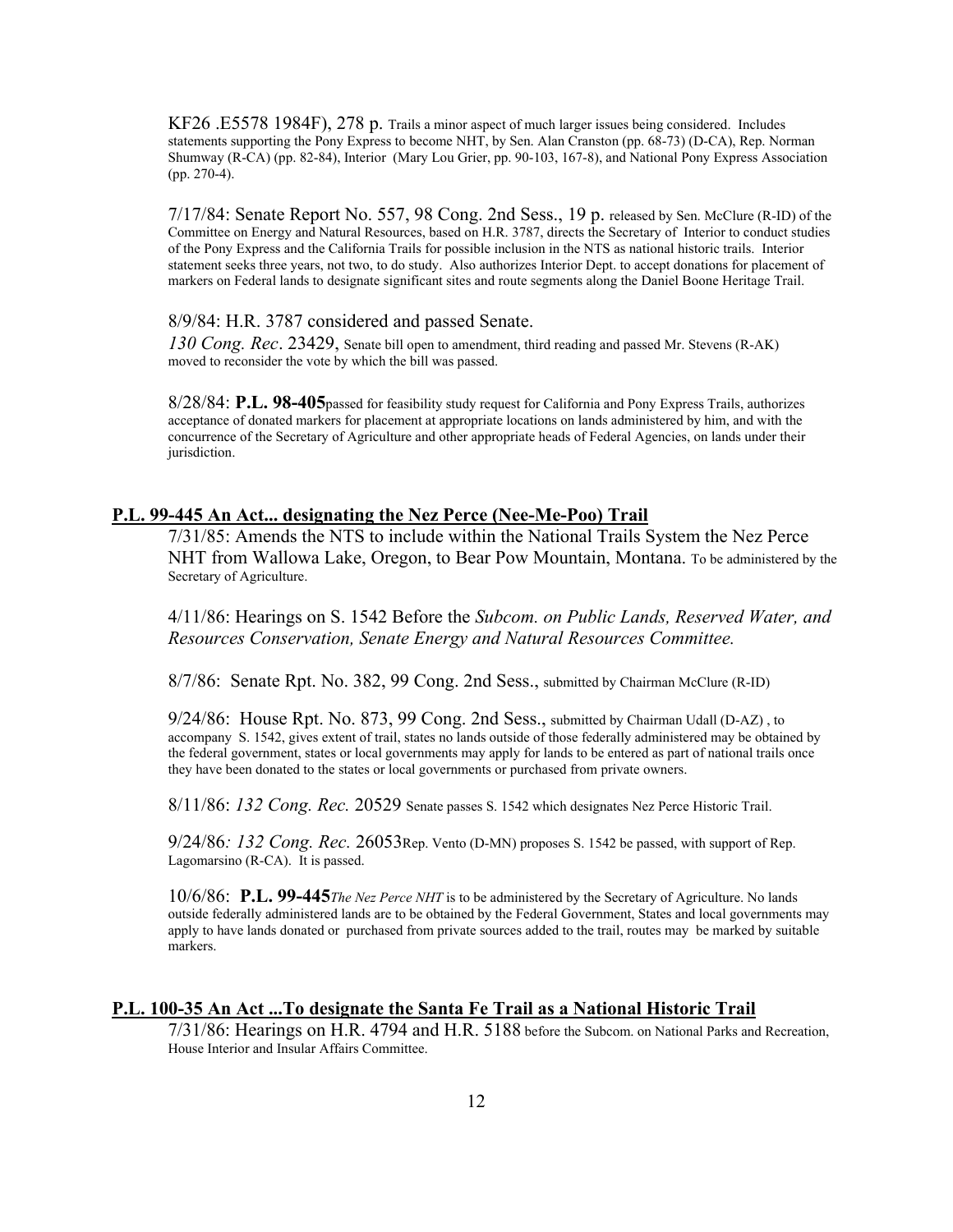KF26 .E5578 1984F), 278 p. Trails a minor aspect of much larger issues being considered. Includes statements supporting the Pony Express to become NHT, by Sen. Alan Cranston (pp. 68-73) (D-CA), Rep. Norman Shumway (R-CA) (pp. 82-84), Interior (Mary Lou Grier, pp. 90-103, 167-8), and National Pony Express Association (pp. 270-4).

7/17/84: Senate Report No. 557, 98 Cong. 2nd Sess., 19 p. released by Sen. McClure (R-ID) of the Committee on Energy and Natural Resources, based on H.R. 3787, directs the Secretary of Interior to conduct studies of the Pony Express and the California Trails for possible inclusion in the NTS as national historic trails. Interior statement seeks three years, not two, to do study. Also authorizes Interior Dept. to accept donations for placement of markers on Federal lands to designate significant sites and route segments along the Daniel Boone Heritage Trail.

#### 8/9/84: H.R. 3787 considered and passed Senate.

*130 Cong. Rec*. 23429, Senate bill open to amendment, third reading and passed Mr. Stevens (R-AK) moved to reconsider the vote by which the bill was passed.

8/28/84: **P.L. 98-405**passed for feasibility study request for California and Pony Express Trails, authorizes acceptance of donated markers for placement at appropriate locations on lands administered by him, and with the concurrence of the Secretary of Agriculture and other appropriate heads of Federal Agencies, on lands under their jurisdiction.

## **P.L. 99-445 An Act... designating the Nez Perce (Nee-Me-Poo) Trail**

7/31/85: Amends the NTS to include within the National Trails System the Nez Perce NHT from Wallowa Lake, Oregon, to Bear Pow Mountain, Montana. To be administered by the Secretary of Agriculture.

4/11/86: Hearings on S. 1542 Before the *Subcom. on Public Lands, Reserved Water, and Resources Conservation, Senate Energy and Natural Resources Committee.* 

8/7/86: Senate Rpt. No. 382, 99 Cong. 2nd Sess., submitted by Chairman McClure (R-ID)

9/24/86: House Rpt. No. 873, 99 Cong. 2nd Sess., submitted by Chairman Udall (D-AZ) , to accompany S. 1542, gives extent of trail, states no lands outside of those federally administered may be obtained by the federal government, states or local governments may apply for lands to be entered as part of national trails once they have been donated to the states or local governments or purchased from private owners.

8/11/86: *132 Cong. Rec.* 20529 Senate passes S. 1542 which designates Nez Perce Historic Trail.

9/24/86*: 132 Cong. Rec.* 26053Rep. Vento (D-MN) proposes S. 1542 be passed, with support of Rep. Lagomarsino (R-CA). It is passed.

10/6/86: **P.L. 99-445***The Nez Perce NHT* is to be administered by the Secretary of Agriculture. No lands outside federally administered lands are to be obtained by the Federal Government, States and local governments may apply to have lands donated or purchased from private sources added to the trail, routes may be marked by suitable markers.

### **P.L. 100-35 An Act ...To designate the Santa Fe Trail as a National Historic Trail**

7/31/86: Hearings on H.R. 4794 and H.R. 5188 before the Subcom. on National Parks and Recreation, House Interior and Insular Affairs Committee.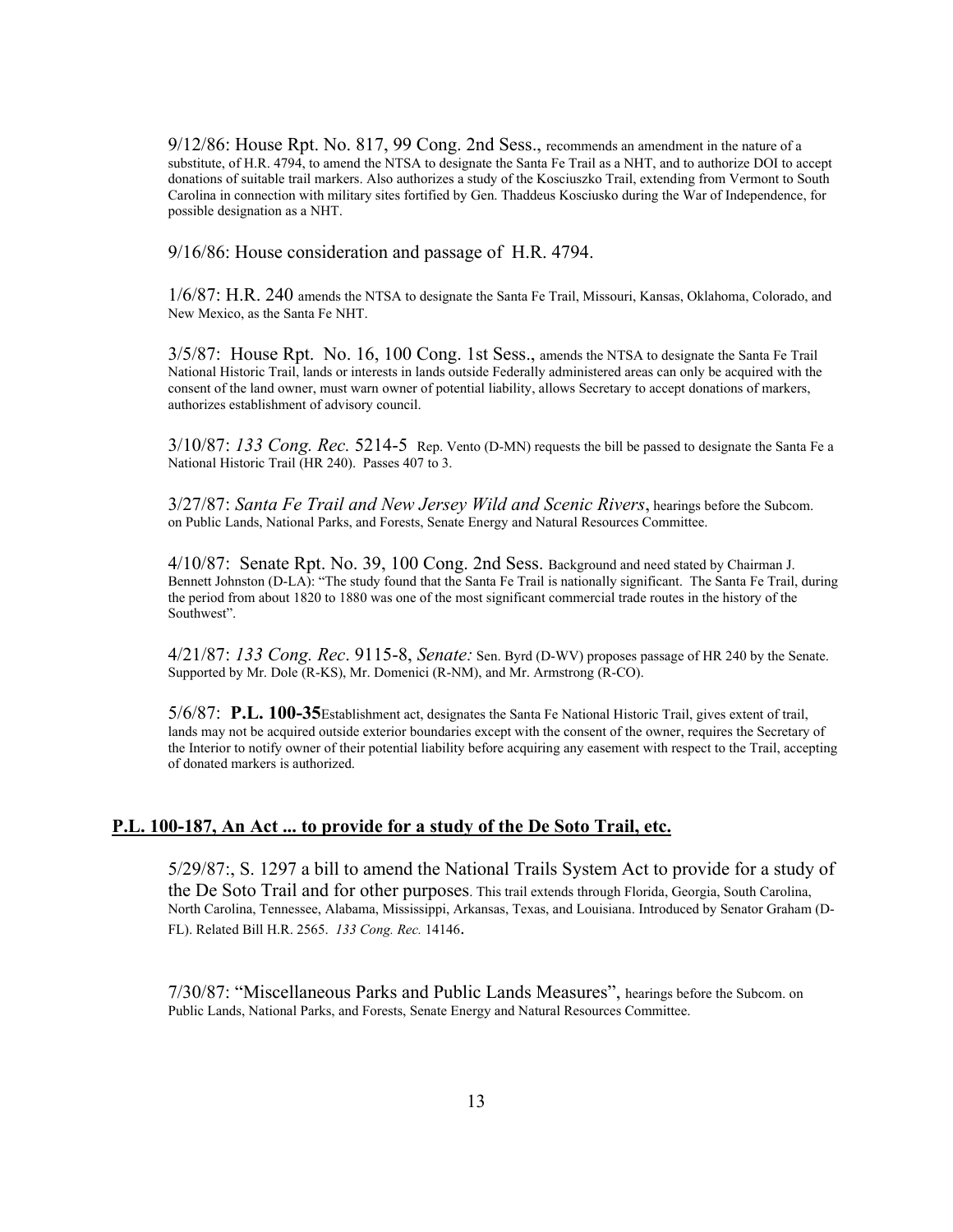9/12/86: House Rpt. No. 817, 99 Cong. 2nd Sess., recommends an amendment in the nature of a substitute, of H.R. 4794, to amend the NTSA to designate the Santa Fe Trail as a NHT, and to authorize DOI to accept donations of suitable trail markers. Also authorizes a study of the Kosciuszko Trail, extending from Vermont to South Carolina in connection with military sites fortified by Gen. Thaddeus Kosciusko during the War of Independence, for possible designation as a NHT.

9/16/86: House consideration and passage of H.R. 4794.

1/6/87: H.R. 240 amends the NTSA to designate the Santa Fe Trail, Missouri, Kansas, Oklahoma, Colorado, and New Mexico, as the Santa Fe NHT.

3/5/87: House Rpt. No. 16, 100 Cong. 1st Sess., amends the NTSA to designate the Santa Fe Trail National Historic Trail, lands or interests in lands outside Federally administered areas can only be acquired with the consent of the land owner, must warn owner of potential liability, allows Secretary to accept donations of markers, authorizes establishment of advisory council.

3/10/87: *133 Cong. Rec.* 5214-5 Rep. Vento (D-MN) requests the bill be passed to designate the Santa Fe a National Historic Trail (HR 240). Passes 407 to 3.

3/27/87: *Santa Fe Trail and New Jersey Wild and Scenic Rivers*, hearings before the Subcom. on Public Lands, National Parks, and Forests, Senate Energy and Natural Resources Committee.

4/10/87: Senate Rpt. No. 39, 100 Cong. 2nd Sess. Background and need stated by Chairman J. Bennett Johnston (D-LA): "The study found that the Santa Fe Trail is nationally significant. The Santa Fe Trail, during the period from about 1820 to 1880 was one of the most significant commercial trade routes in the history of the Southwest".

4/21/87: *133 Cong. Rec*. 9115-8, *Senate:* Sen. Byrd (D-WV) proposes passage of HR 240 by the Senate. Supported by Mr. Dole (R-KS), Mr. Domenici (R-NM), and Mr. Armstrong (R-CO).

5/6/87: **P.L. 100-35**Establishment act, designates the Santa Fe National Historic Trail, gives extent of trail, lands may not be acquired outside exterior boundaries except with the consent of the owner, requires the Secretary of the Interior to notify owner of their potential liability before acquiring any easement with respect to the Trail, accepting of donated markers is authorized.

## **P.L. 100-187, An Act ... to provide for a study of the De Soto Trail, etc.**

5/29/87:, S. 1297 a bill to amend the National Trails System Act to provide for a study of the De Soto Trail and for other purposes. This trail extends through Florida, Georgia, South Carolina, North Carolina, Tennessee, Alabama, Mississippi, Arkansas, Texas, and Louisiana. Introduced by Senator Graham (D-FL). Related Bill H.R. 2565. *133 Cong. Rec.* 14146.

7/30/87: "Miscellaneous Parks and Public Lands Measures", hearings before the Subcom. on Public Lands, National Parks, and Forests, Senate Energy and Natural Resources Committee.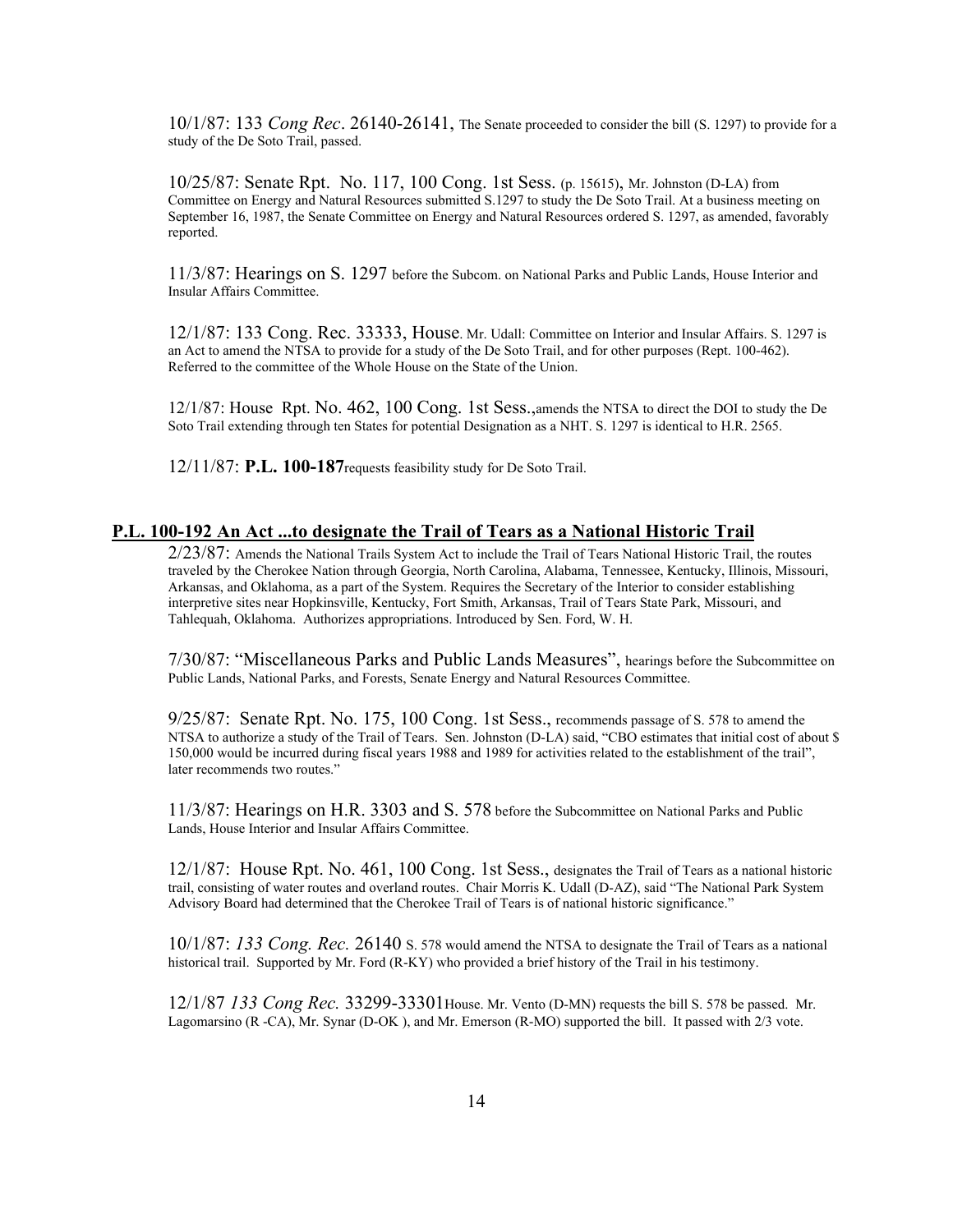10/1/87: 133 *Cong Rec*. 26140-26141, The Senate proceeded to consider the bill (S. 1297) to provide for a study of the De Soto Trail, passed.

10/25/87: Senate Rpt. No. 117, 100 Cong. 1st Sess. (p. 15615), Mr. Johnston (D-LA) from Committee on Energy and Natural Resources submitted S.1297 to study the De Soto Trail. At a business meeting on September 16, 1987, the Senate Committee on Energy and Natural Resources ordered S. 1297, as amended, favorably reported.

11/3/87: Hearings on S. 1297 before the Subcom. on National Parks and Public Lands, House Interior and Insular Affairs Committee.

12/1/87: 133 Cong. Rec. 33333, House. Mr. Udall: Committee on Interior and Insular Affairs. S. 1297 is an Act to amend the NTSA to provide for a study of the De Soto Trail, and for other purposes (Rept. 100-462). Referred to the committee of the Whole House on the State of the Union.

12/1/87: House Rpt. No. 462, 100 Cong. 1st Sess.,amends the NTSA to direct the DOI to study the De Soto Trail extending through ten States for potential Designation as a NHT. S. 1297 is identical to H.R. 2565.

12/11/87: **P.L. 100-187**requests feasibility study for De Soto Trail.

## **P.L. 100-192 An Act ...to designate the Trail of Tears as a National Historic Trail**

2/23/87: Amends the National Trails System Act to include the Trail of Tears National Historic Trail, the routes traveled by the Cherokee Nation through Georgia, North Carolina, Alabama, Tennessee, Kentucky, Illinois, Missouri, Arkansas, and Oklahoma, as a part of the System. Requires the Secretary of the Interior to consider establishing interpretive sites near Hopkinsville, Kentucky, Fort Smith, Arkansas, Trail of Tears State Park, Missouri, and Tahlequah, Oklahoma. Authorizes appropriations. Introduced by Sen. Ford, W. H.

7/30/87: "Miscellaneous Parks and Public Lands Measures", hearings before the Subcommittee on Public Lands, National Parks, and Forests, Senate Energy and Natural Resources Committee.

9/25/87: Senate Rpt. No. 175, 100 Cong. 1st Sess., recommends passage of S. 578 to amend the NTSA to authorize a study of the Trail of Tears. Sen. Johnston (D-LA) said, "CBO estimates that initial cost of about \$ 150,000 would be incurred during fiscal years 1988 and 1989 for activities related to the establishment of the trail", later recommends two routes."

11/3/87: Hearings on H.R. 3303 and S. 578 before the Subcommittee on National Parks and Public Lands, House Interior and Insular Affairs Committee.

12/1/87: House Rpt. No. 461, 100 Cong. 1st Sess., designates the Trail of Tears as a national historic trail, consisting of water routes and overland routes. Chair Morris K. Udall (D-AZ), said "The National Park System Advisory Board had determined that the Cherokee Trail of Tears is of national historic significance."

10/1/87: *133 Cong. Rec.* 26140 S. 578 would amend the NTSA to designate the Trail of Tears as a national historical trail. Supported by Mr. Ford (R-KY) who provided a brief history of the Trail in his testimony.

12/1/87 *133 Cong Rec.* 33299-33301House. Mr. Vento (D-MN) requests the bill S. 578 be passed. Mr. Lagomarsino (R -CA), Mr. Synar (D-OK ), and Mr. Emerson (R-MO) supported the bill. It passed with 2/3 vote.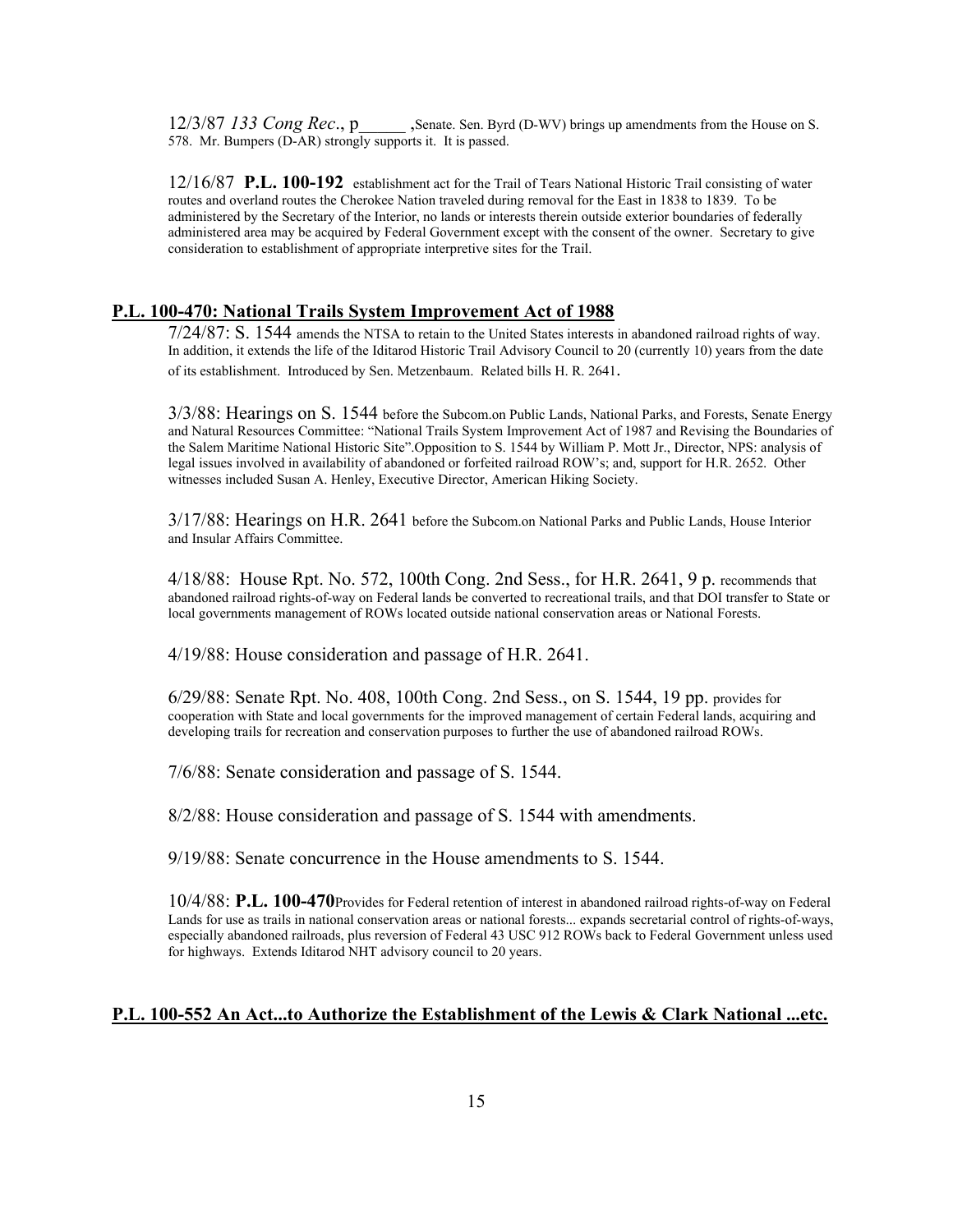12/3/87 *133 Cong Rec*., p\_\_\_\_\_ ,Senate. Sen. Byrd (D-WV) brings up amendments from the House on S. 578. Mr. Bumpers (D-AR) strongly supports it. It is passed.

12/16/87 **P.L. 100-192** establishment act for the Trail of Tears National Historic Trail consisting of water routes and overland routes the Cherokee Nation traveled during removal for the East in 1838 to 1839. To be administered by the Secretary of the Interior, no lands or interests therein outside exterior boundaries of federally administered area may be acquired by Federal Government except with the consent of the owner. Secretary to give consideration to establishment of appropriate interpretive sites for the Trail.

## **P.L. 100-470: National Trails System Improvement Act of 1988**

7/24/87: S. 1544 amends the NTSA to retain to the United States interests in abandoned railroad rights of way. In addition, it extends the life of the Iditarod Historic Trail Advisory Council to 20 (currently 10) years from the date of its establishment. Introduced by Sen. Metzenbaum. Related bills H. R. 2641.

3/3/88: Hearings on S. 1544 before the Subcom.on Public Lands, National Parks, and Forests, Senate Energy and Natural Resources Committee: "National Trails System Improvement Act of 1987 and Revising the Boundaries of the Salem Maritime National Historic Site".Opposition to S. 1544 by William P. Mott Jr., Director, NPS: analysis of legal issues involved in availability of abandoned or forfeited railroad ROW's; and, support for H.R. 2652. Other witnesses included Susan A. Henley, Executive Director, American Hiking Society.

3/17/88: Hearings on H.R. 2641 before the Subcom.on National Parks and Public Lands, House Interior and Insular Affairs Committee.

4/18/88: House Rpt. No. 572, 100th Cong. 2nd Sess., for H.R. 2641, 9 p. recommends that abandoned railroad rights-of-way on Federal lands be converted to recreational trails, and that DOI transfer to State or local governments management of ROWs located outside national conservation areas or National Forests.

4/19/88: House consideration and passage of H.R. 2641.

6/29/88: Senate Rpt. No. 408, 100th Cong. 2nd Sess., on S. 1544, 19 pp. provides for cooperation with State and local governments for the improved management of certain Federal lands, acquiring and developing trails for recreation and conservation purposes to further the use of abandoned railroad ROWs.

7/6/88: Senate consideration and passage of S. 1544.

8/2/88: House consideration and passage of S. 1544 with amendments.

9/19/88: Senate concurrence in the House amendments to S. 1544.

10/4/88: **P.L. 100-470**Provides for Federal retention of interest in abandoned railroad rights-of-way on Federal Lands for use as trails in national conservation areas or national forests... expands secretarial control of rights-of-ways, especially abandoned railroads, plus reversion of Federal 43 USC 912 ROWs back to Federal Government unless used for highways. Extends Iditarod NHT advisory council to 20 years.

## **P.L. 100-552 An Act...to Authorize the Establishment of the Lewis & Clark National ...etc.**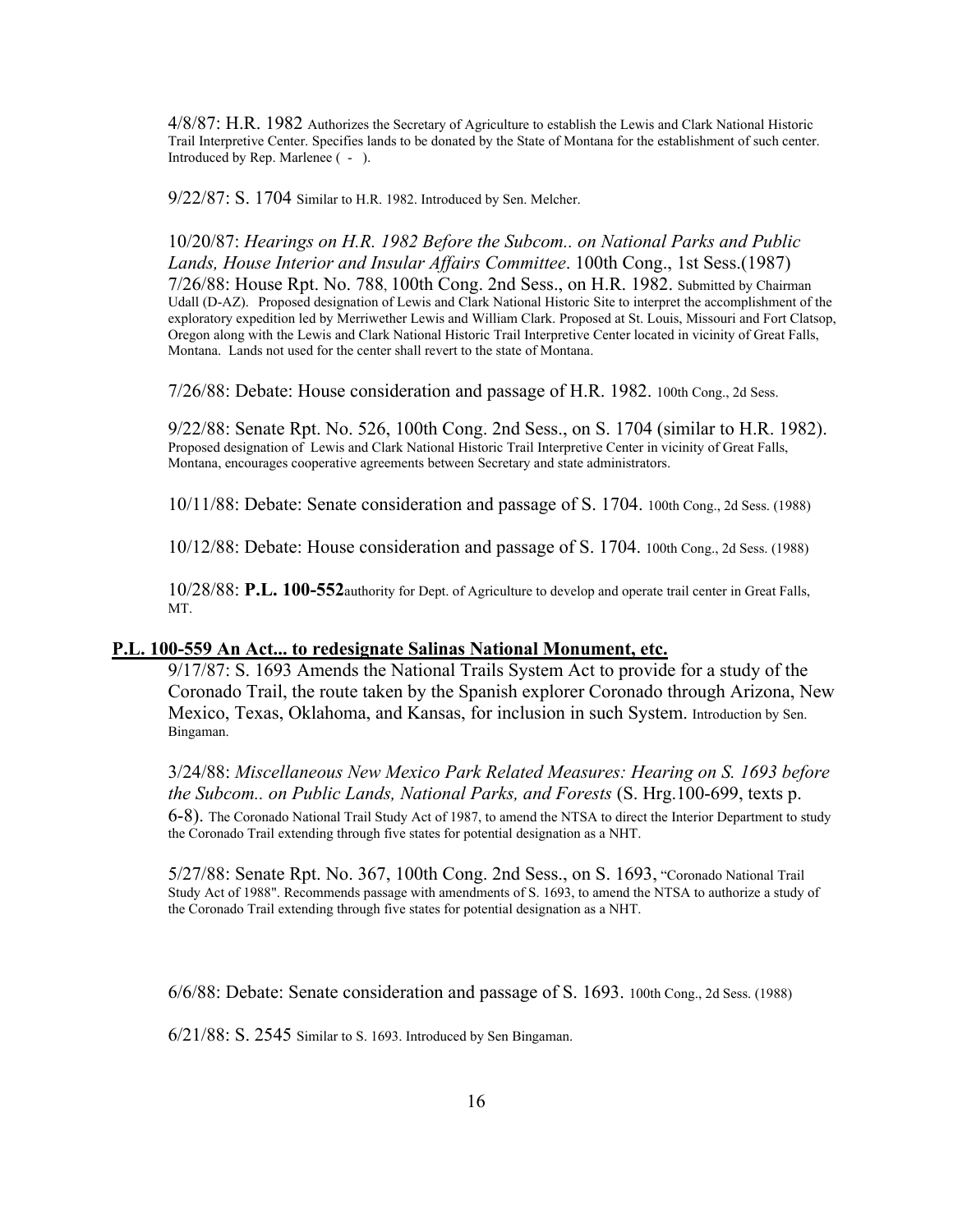4/8/87: H.R. 1982 Authorizes the Secretary of Agriculture to establish the Lewis and Clark National Historic Trail Interpretive Center. Specifies lands to be donated by the State of Montana for the establishment of such center. Introduced by Rep. Marlenee ( - ).

9/22/87: S. 1704 Similar to H.R. 1982. Introduced by Sen. Melcher.

10/20/87: *Hearings on H.R. 1982 Before the Subcom.. on National Parks and Public Lands, House Interior and Insular Affairs Committee*. 100th Cong., 1st Sess.(1987) 7/26/88: House Rpt. No. 788, 100th Cong. 2nd Sess., on H.R. 1982. Submitted by Chairman Udall (D-AZ). Proposed designation of Lewis and Clark National Historic Site to interpret the accomplishment of the exploratory expedition led by Merriwether Lewis and William Clark. Proposed at St. Louis, Missouri and Fort Clatsop, Oregon along with the Lewis and Clark National Historic Trail Interpretive Center located in vicinity of Great Falls, Montana. Lands not used for the center shall revert to the state of Montana.

7/26/88: Debate: House consideration and passage of H.R. 1982. 100th Cong., 2d Sess.

9/22/88: Senate Rpt. No. 526, 100th Cong. 2nd Sess., on S. 1704 (similar to H.R. 1982). Proposed designation of Lewis and Clark National Historic Trail Interpretive Center in vicinity of Great Falls, Montana, encourages cooperative agreements between Secretary and state administrators.

10/11/88: Debate: Senate consideration and passage of S. 1704. 100th Cong., 2d Sess. (1988)

10/12/88: Debate: House consideration and passage of S. 1704. 100th Cong., 2d Sess. (1988)

10/28/88: **P.L. 100-552**authority for Dept. of Agriculture to develop and operate trail center in Great Falls, MT.

#### **P.L. 100-559 An Act... to redesignate Salinas National Monument, etc.**

9/17/87: S. 1693 Amends the National Trails System Act to provide for a study of the Coronado Trail, the route taken by the Spanish explorer Coronado through Arizona, New Mexico, Texas, Oklahoma, and Kansas, for inclusion in such System. Introduction by Sen. Bingaman.

3/24/88: *Miscellaneous New Mexico Park Related Measures: Hearing on S. 1693 before the Subcom.. on Public Lands, National Parks, and Forests* (S. Hrg.100-699, texts p. 6-8). The Coronado National Trail Study Act of 1987, to amend the NTSA to direct the Interior Department to study the Coronado Trail extending through five states for potential designation as a NHT.

5/27/88: Senate Rpt. No. 367, 100th Cong. 2nd Sess., on S. 1693, "Coronado National Trail Study Act of 1988". Recommends passage with amendments of S. 1693, to amend the NTSA to authorize a study of the Coronado Trail extending through five states for potential designation as a NHT.

6/6/88: Debate: Senate consideration and passage of S. 1693. 100th Cong., 2d Sess. (1988)

6/21/88: S. 2545 Similar to S. 1693. Introduced by Sen Bingaman.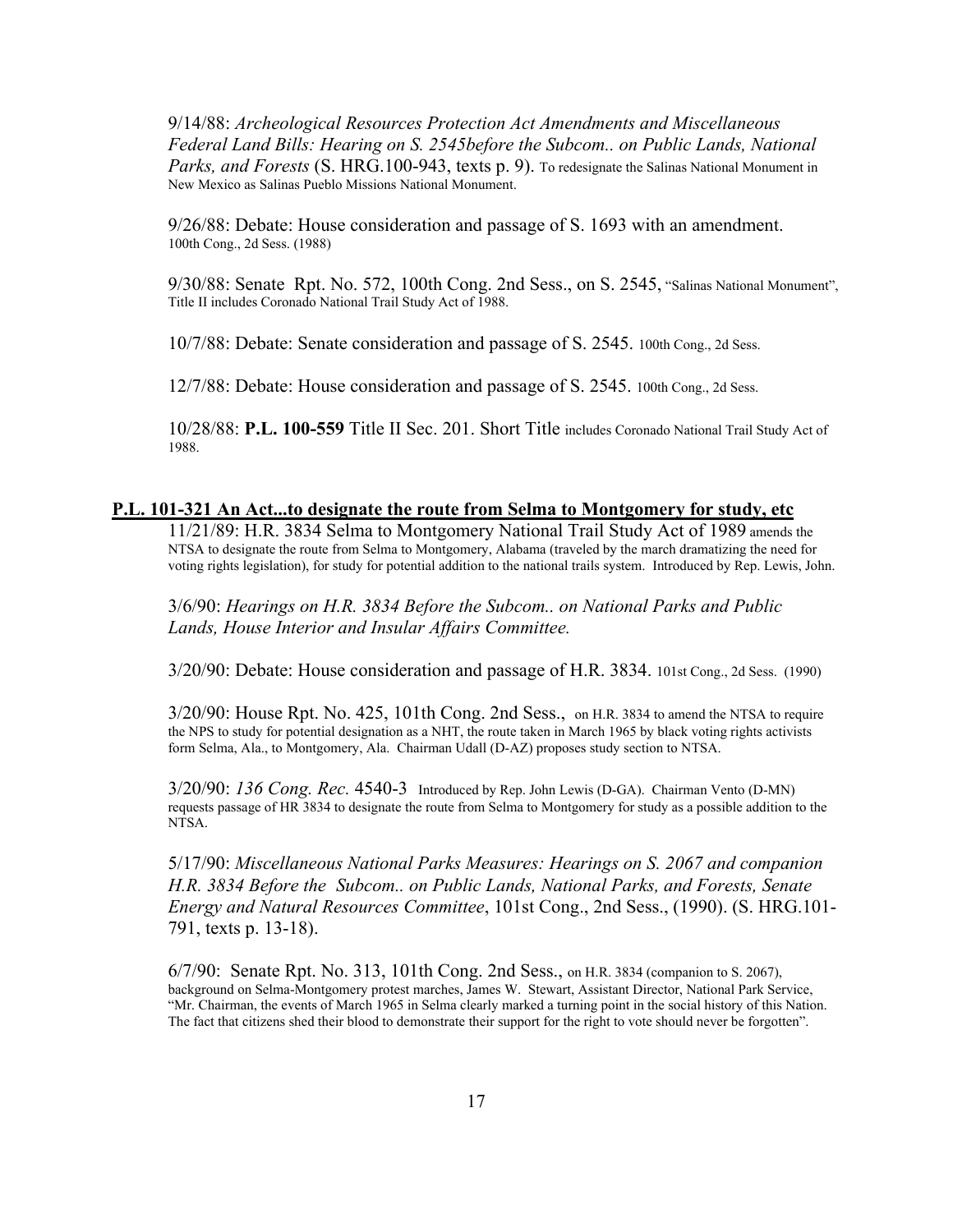9/14/88: *Archeological Resources Protection Act Amendments and Miscellaneous Federal Land Bills: Hearing on S. 2545before the Subcom.. on Public Lands, National Parks, and Forests* (S. HRG.100-943, texts p. 9). To redesignate the Salinas National Monument in New Mexico as Salinas Pueblo Missions National Monument.

9/26/88: Debate: House consideration and passage of S. 1693 with an amendment. 100th Cong., 2d Sess. (1988)

9/30/88: Senate Rpt. No. 572, 100th Cong. 2nd Sess., on S. 2545, "Salinas National Monument", Title II includes Coronado National Trail Study Act of 1988.

10/7/88: Debate: Senate consideration and passage of S. 2545. 100th Cong., 2d Sess.

12/7/88: Debate: House consideration and passage of S. 2545. 100th Cong., 2d Sess.

10/28/88: **P.L. 100-559** Title II Sec. 201. Short Title includes Coronado National Trail Study Act of 1988.

#### **P.L. 101-321 An Act...to designate the route from Selma to Montgomery for study, etc**

11/21/89: H.R. 3834 Selma to Montgomery National Trail Study Act of 1989 amends the NTSA to designate the route from Selma to Montgomery, Alabama (traveled by the march dramatizing the need for voting rights legislation), for study for potential addition to the national trails system. Introduced by Rep. Lewis, John.

3/6/90: *Hearings on H.R. 3834 Before the Subcom.. on National Parks and Public Lands, House Interior and Insular Affairs Committee.*

3/20/90: Debate: House consideration and passage of H.R. 3834. 101st Cong., 2d Sess. (1990)

3/20/90: House Rpt. No. 425, 101th Cong. 2nd Sess., on H.R. 3834 to amend the NTSA to require the NPS to study for potential designation as a NHT, the route taken in March 1965 by black voting rights activists form Selma, Ala., to Montgomery, Ala. Chairman Udall (D-AZ) proposes study section to NTSA.

3/20/90: *136 Cong. Rec.* 4540-3 Introduced by Rep. John Lewis (D-GA). Chairman Vento (D-MN) requests passage of HR 3834 to designate the route from Selma to Montgomery for study as a possible addition to the NTSA.

5/17/90: *Miscellaneous National Parks Measures: Hearings on S. 2067 and companion H.R. 3834 Before the Subcom.. on Public Lands, National Parks, and Forests, Senate Energy and Natural Resources Committee*, 101st Cong., 2nd Sess., (1990). (S. HRG.101- 791, texts p. 13-18).

6/7/90: Senate Rpt. No. 313, 101th Cong. 2nd Sess., on H.R. 3834 (companion to S. 2067), background on Selma-Montgomery protest marches, James W. Stewart, Assistant Director, National Park Service, "Mr. Chairman, the events of March 1965 in Selma clearly marked a turning point in the social history of this Nation. The fact that citizens shed their blood to demonstrate their support for the right to vote should never be forgotten".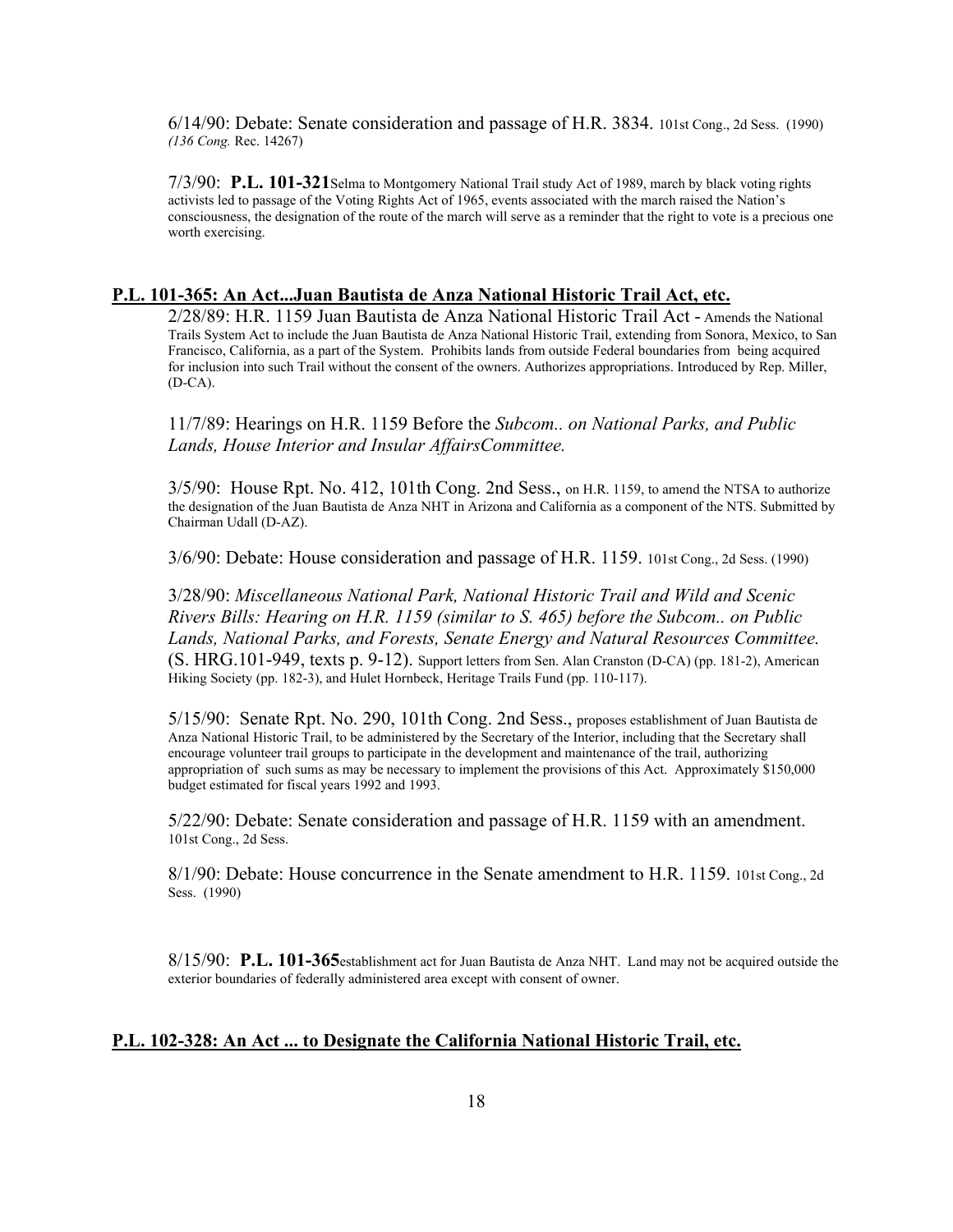6/14/90: Debate: Senate consideration and passage of H.R. 3834. 101st Cong., 2d Sess. (1990) *(136 Cong.* Rec. 14267)

7/3/90: **P.L. 101-321**Selma to Montgomery National Trail study Act of 1989, march by black voting rights activists led to passage of the Voting Rights Act of 1965, events associated with the march raised the Nation's consciousness, the designation of the route of the march will serve as a reminder that the right to vote is a precious one worth exercising.

## **P.L. 101-365: An Act...Juan Bautista de Anza National Historic Trail Act, etc.**

2/28/89: H.R. 1159 Juan Bautista de Anza National Historic Trail Act - Amends the National Trails System Act to include the Juan Bautista de Anza National Historic Trail, extending from Sonora, Mexico, to San Francisco, California, as a part of the System. Prohibits lands from outside Federal boundaries from being acquired for inclusion into such Trail without the consent of the owners. Authorizes appropriations. Introduced by Rep. Miller, (D-CA).

11/7/89: Hearings on H.R. 1159 Before the *Subcom.. on National Parks, and Public Lands, House Interior and Insular AffairsCommittee.*

3/5/90: House Rpt. No. 412, 101th Cong. 2nd Sess., on H.R. 1159, to amend the NTSA to authorize the designation of the Juan Bautista de Anza NHT in Arizona and California as a component of the NTS. Submitted by Chairman Udall (D-AZ).

3/6/90: Debate: House consideration and passage of H.R. 1159. 101st Cong., 2d Sess. (1990)

3/28/90: *Miscellaneous National Park, National Historic Trail and Wild and Scenic Rivers Bills: Hearing on H.R. 1159 (similar to S. 465) before the Subcom.. on Public Lands, National Parks, and Forests, Senate Energy and Natural Resources Committee.*  (S. HRG.101-949, texts p. 9-12). Support letters from Sen. Alan Cranston (D-CA) (pp. 181-2), American Hiking Society (pp. 182-3), and Hulet Hornbeck, Heritage Trails Fund (pp. 110-117).

5/15/90: Senate Rpt. No. 290, 101th Cong. 2nd Sess., proposes establishment of Juan Bautista de Anza National Historic Trail, to be administered by the Secretary of the Interior, including that the Secretary shall encourage volunteer trail groups to participate in the development and maintenance of the trail, authorizing appropriation of such sums as may be necessary to implement the provisions of this Act. Approximately \$150,000 budget estimated for fiscal years 1992 and 1993.

5/22/90: Debate: Senate consideration and passage of H.R. 1159 with an amendment. 101st Cong., 2d Sess.

8/1/90: Debate: House concurrence in the Senate amendment to H.R. 1159. 101st Cong., 2d Sess. (1990)

8/15/90: **P.L. 101-365**establishment act for Juan Bautista de Anza NHT. Land may not be acquired outside the exterior boundaries of federally administered area except with consent of owner.

## **P.L. 102-328: An Act ... to Designate the California National Historic Trail, etc.**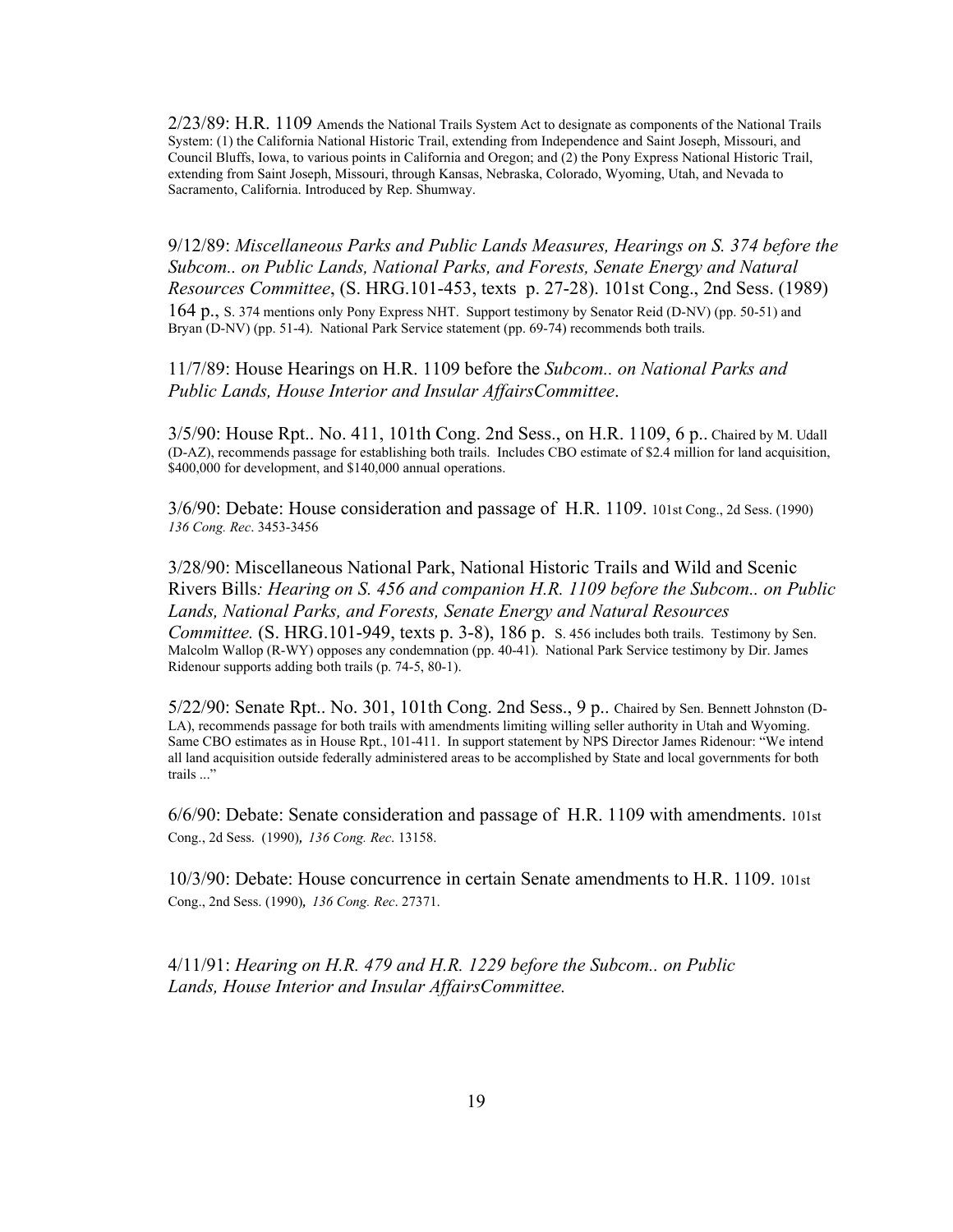$2/23/89$ : H.R. 1109 Amends the National Trails System Act to designate as components of the National Trails System: (1) the California National Historic Trail, extending from Independence and Saint Joseph, Missouri, and Council Bluffs, Iowa, to various points in California and Oregon; and (2) the Pony Express National Historic Trail, extending from Saint Joseph, Missouri, through Kansas, Nebraska, Colorado, Wyoming, Utah, and Nevada to Sacramento, California. Introduced by Rep. Shumway.

9/12/89: *Miscellaneous Parks and Public Lands Measures, Hearings on S. 374 before the Subcom.. on Public Lands, National Parks, and Forests, Senate Energy and Natural Resources Committee*, (S. HRG.101-453, texts p. 27-28). 101st Cong., 2nd Sess. (1989) 164 p., S. 374 mentions only Pony Express NHT. Support testimony by Senator Reid (D-NV) (pp. 50-51) and Bryan (D-NV) (pp. 51-4). National Park Service statement (pp. 69-74) recommends both trails.

11/7/89: House Hearings on H.R. 1109 before the *Subcom.. on National Parks and Public Lands, House Interior and Insular AffairsCommittee*.

3/5/90: House Rpt.. No. 411, 101th Cong. 2nd Sess., on H.R. 1109, 6 p.. Chaired by M. Udall (D-AZ), recommends passage for establishing both trails. Includes CBO estimate of \$2.4 million for land acquisition, \$400,000 for development, and \$140,000 annual operations.

3/6/90: Debate: House consideration and passage of H.R. 1109. 101st Cong., 2d Sess. (1990) *136 Cong. Rec*. 3453-3456

3/28/90: Miscellaneous National Park, National Historic Trails and Wild and Scenic Rivers Bills*: Hearing on S. 456 and companion H.R. 1109 before the Subcom.. on Public Lands, National Parks, and Forests, Senate Energy and Natural Resources Committee.* (S. HRG.101-949, texts p. 3-8), 186 p. S. 456 includes both trails. Testimony by Sen. Malcolm Wallop (R-WY) opposes any condemnation (pp. 40-41). National Park Service testimony by Dir. James Ridenour supports adding both trails (p. 74-5, 80-1).

5/22/90: Senate Rpt.. No. 301, 101th Cong. 2nd Sess., 9 p.. Chaired by Sen. Bennett Johnston (D-LA), recommends passage for both trails with amendments limiting willing seller authority in Utah and Wyoming. Same CBO estimates as in House Rpt., 101-411. In support statement by NPS Director James Ridenour: "We intend all land acquisition outside federally administered areas to be accomplished by State and local governments for both trails ..."

6/6/90: Debate: Senate consideration and passage of H.R. 1109 with amendments. 101st Cong., 2d Sess. (1990)*, 136 Cong. Rec*. 13158.

10/3/90: Debate: House concurrence in certain Senate amendments to H.R. 1109. 101st Cong., 2nd Sess. (1990)*, 136 Cong. Rec*. 27371.

4/11/91: *Hearing on H.R. 479 and H.R. 1229 before the Subcom.. on Public Lands, House Interior and Insular AffairsCommittee.*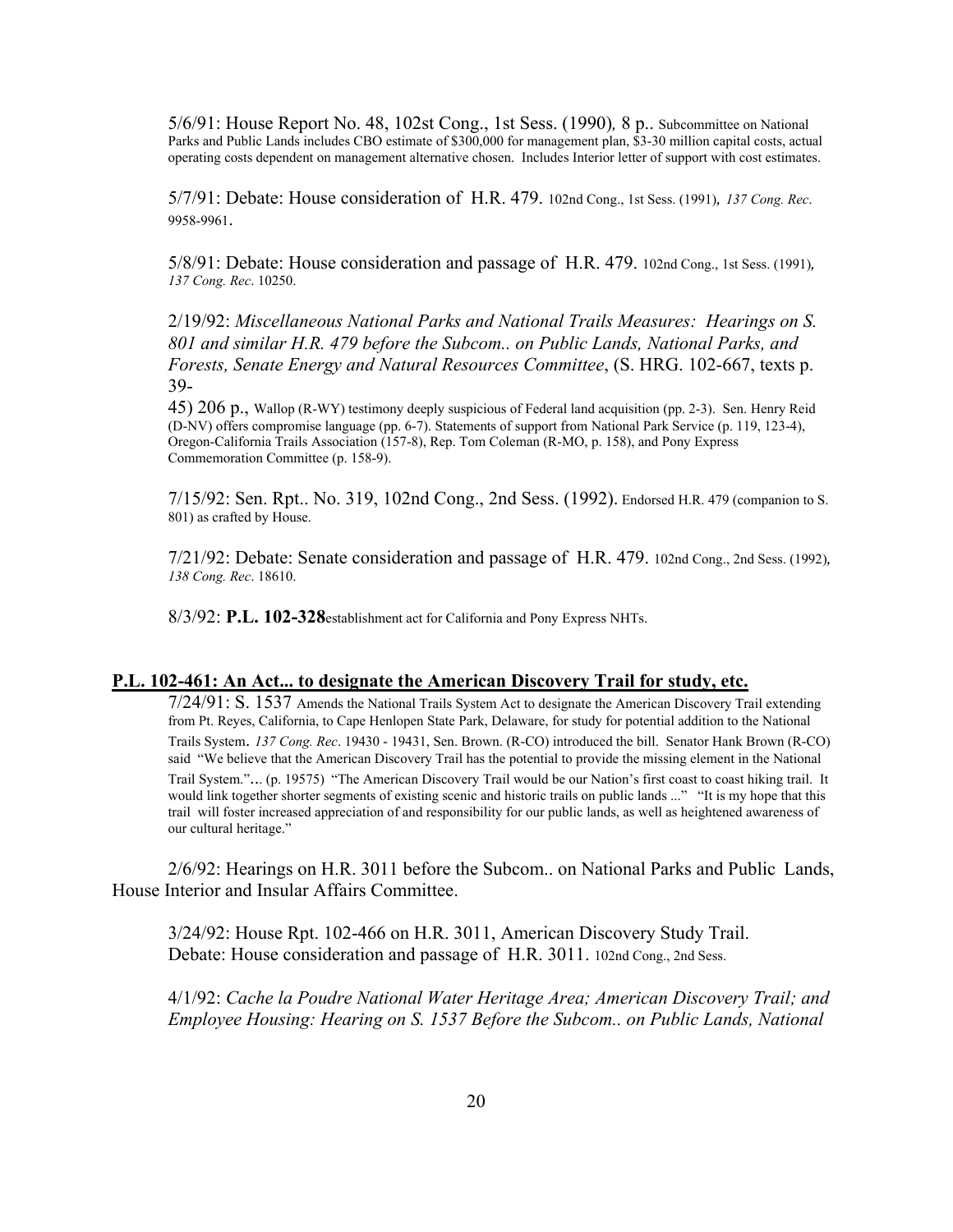5/6/91: House Report No. 48, 102st Cong., 1st Sess. (1990)*,* 8 p.. Subcommittee on National Parks and Public Lands includes CBO estimate of \$300,000 for management plan, \$3-30 million capital costs, actual operating costs dependent on management alternative chosen. Includes Interior letter of support with cost estimates.

5/7/91: Debate: House consideration of H.R. 479. 102nd Cong., 1st Sess. (1991)*, 137 Cong. Rec*. 9958-9961.

5/8/91: Debate: House consideration and passage of H.R. 479. 102nd Cong., 1st Sess. (1991)*, 137 Cong. Rec*. 10250.

2/19/92: *Miscellaneous National Parks and National Trails Measures: Hearings on S. 801 and similar H.R. 479 before the Subcom.. on Public Lands, National Parks, and Forests, Senate Energy and Natural Resources Committee*, (S. HRG. 102-667, texts p. 39-

45) 206 p., Wallop (R-WY) testimony deeply suspicious of Federal land acquisition (pp. 2-3). Sen. Henry Reid (D-NV) offers compromise language (pp. 6-7). Statements of support from National Park Service (p. 119, 123-4), Oregon-California Trails Association (157-8), Rep. Tom Coleman (R-MO, p. 158), and Pony Express Commemoration Committee (p. 158-9).

7/15/92: Sen. Rpt.. No. 319, 102nd Cong., 2nd Sess. (1992). Endorsed H.R. 479 (companion to S. 801) as crafted by House.

7/21/92: Debate: Senate consideration and passage of H.R. 479. 102nd Cong., 2nd Sess. (1992)*, 138 Cong. Rec*. 18610.

8/3/92: **P.L. 102-328**establishment act for California and Pony Express NHTs.

#### **P.L. 102-461: An Act... to designate the American Discovery Trail for study, etc.**

7/24/91: S. 1537 Amends the National Trails System Act to designate the American Discovery Trail extending from Pt. Reyes, California, to Cape Henlopen State Park, Delaware, for study for potential addition to the National Trails System. *137 Cong. Rec*. 19430 - 19431, Sen. Brown. (R-CO) introduced the bill. Senator Hank Brown (R-CO) said "We believe that the American Discovery Trail has the potential to provide the missing element in the National Trail System."... (p. 19575) "The American Discovery Trail would be our Nation's first coast to coast hiking trail. It would link together shorter segments of existing scenic and historic trails on public lands ..." "It is my hope that this trail will foster increased appreciation of and responsibility for our public lands, as well as heightened awareness of our cultural heritage."

2/6/92: Hearings on H.R. 3011 before the Subcom.. on National Parks and Public Lands, House Interior and Insular Affairs Committee.

3/24/92: House Rpt. 102-466 on H.R. 3011, American Discovery Study Trail. Debate: House consideration and passage of H.R. 3011. 102nd Cong., 2nd Sess.

4/1/92: *Cache la Poudre National Water Heritage Area; American Discovery Trail; and Employee Housing: Hearing on S. 1537 Before the Subcom.. on Public Lands, National*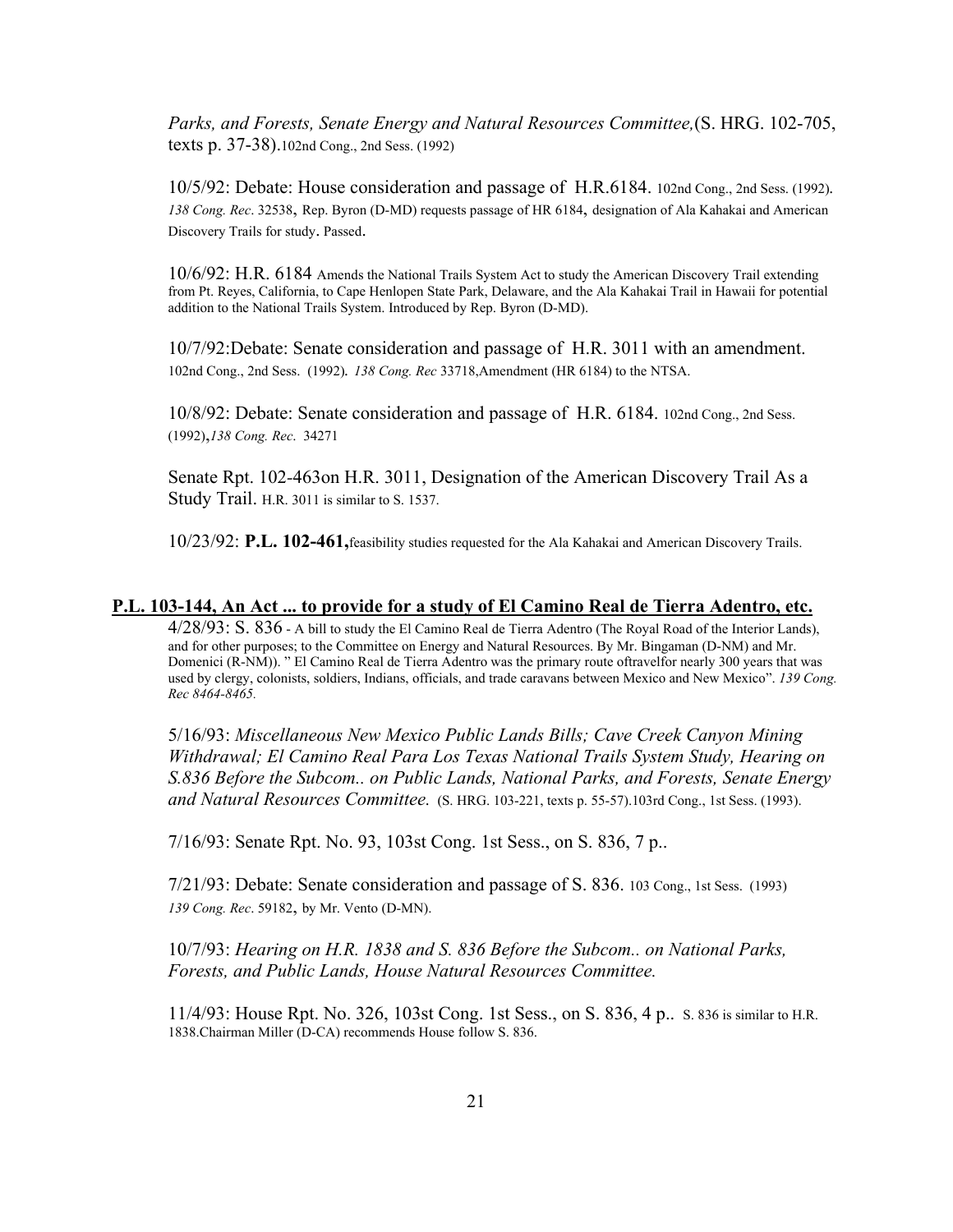*Parks, and Forests, Senate Energy and Natural Resources Committee,*(S. HRG. 102-705, texts p. 37-38).102nd Cong., 2nd Sess. (1992)

10/5/92: Debate: House consideration and passage of H.R.6184. 102nd Cong., 2nd Sess. (1992)*. 138 Cong. Rec*. 32538, Rep. Byron (D-MD) requests passage of HR 6184, designation of Ala Kahakai and American Discovery Trails for study. Passed.

10/6/92: H.R. 6184 Amends the National Trails System Act to study the American Discovery Trail extending from Pt. Reyes, California, to Cape Henlopen State Park, Delaware, and the Ala Kahakai Trail in Hawaii for potential addition to the National Trails System. Introduced by Rep. Byron (D-MD).

10/7/92:Debate: Senate consideration and passage of H.R. 3011 with an amendment. 102nd Cong., 2nd Sess. (1992)*. 138 Cong. Rec* 33718,Amendment (HR 6184) to the NTSA.

10/8/92: Debate: Senate consideration and passage of H.R. 6184. 102nd Cong., 2nd Sess. (1992),*138 Cong. Rec*. 34271

Senate Rpt. 102*-*463on H.R. 3011, Designation of the American Discovery Trail As a Study Trail. H.R. 3011 is similar to S. 1537.

10/23/92: **P.L. 102-461,**feasibility studies requested for the Ala Kahakai and American Discovery Trails.

#### **P.L. 103-144, An Act ... to provide for a study of El Camino Real de Tierra Adentro, etc.**

4/28/93: S. 836 - A bill to study the El Camino Real de Tierra Adentro (The Royal Road of the Interior Lands), and for other purposes; to the Committee on Energy and Natural Resources. By Mr. Bingaman (D-NM) and Mr. Domenici (R-NM)). " El Camino Real de Tierra Adentro was the primary route oftravelfor nearly 300 years that was used by clergy, colonists, soldiers, Indians, officials, and trade caravans between Mexico and New Mexico". *139 Cong. Rec 8464-8465.*

5/16/93: *Miscellaneous New Mexico Public Lands Bills; Cave Creek Canyon Mining Withdrawal; El Camino Real Para Los Texas National Trails System Study, Hearing on S.836 Before the Subcom.. on Public Lands, National Parks, and Forests, Senate Energy and Natural Resources Committee.* (S. HRG. 103-221, texts p. 55-57).103rd Cong., 1st Sess. (1993).

7/16/93: Senate Rpt. No. 93, 103st Cong. 1st Sess., on S. 836, 7 p..

7/21/93: Debate: Senate consideration and passage of S. 836. 103 Cong., 1st Sess. (1993) *139 Cong. Rec*. 59182, by Mr. Vento (D-MN).

10/7/93: *Hearing on H.R. 1838 and S. 836 Before the Subcom.. on National Parks, Forests, and Public Lands, House Natural Resources Committee.*

11/4/93: House Rpt. No. 326, 103st Cong. 1st Sess., on S. 836, 4 p.. S. 836 is similar to H.R. 1838.Chairman Miller (D-CA) recommends House follow S. 836.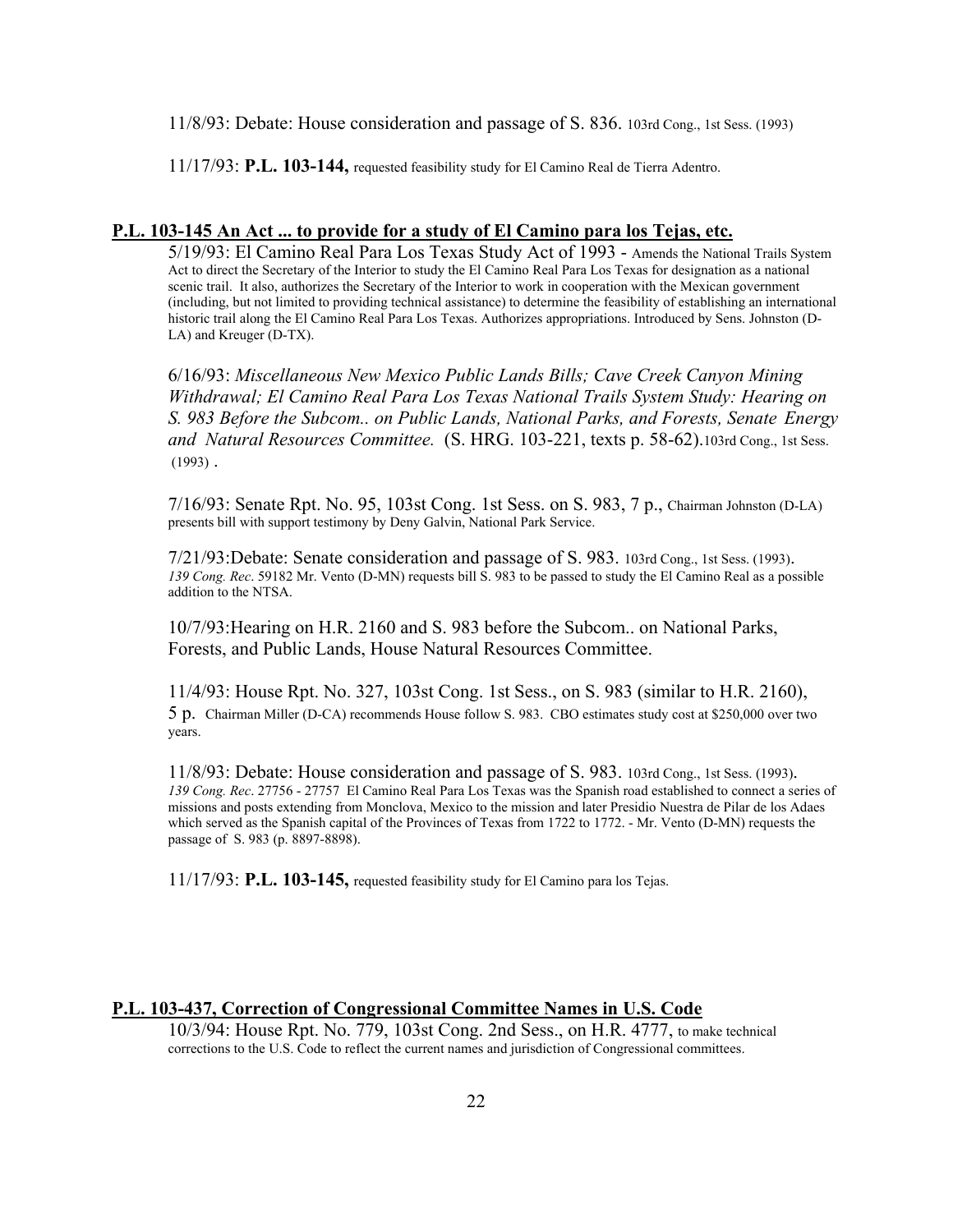11/8/93: Debate: House consideration and passage of S. 836. 103rd Cong., 1st Sess. (1993)

11/17/93: **P.L. 103-144,** requested feasibility study for El Camino Real de Tierra Adentro.

## **P.L. 103-145 An Act ... to provide for a study of El Camino para los Tejas, etc.**

5/19/93: El Camino Real Para Los Texas Study Act of 1993 - Amends the National Trails System Act to direct the Secretary of the Interior to study the El Camino Real Para Los Texas for designation as a national scenic trail. It also, authorizes the Secretary of the Interior to work in cooperation with the Mexican government (including, but not limited to providing technical assistance) to determine the feasibility of establishing an international historic trail along the El Camino Real Para Los Texas. Authorizes appropriations. Introduced by Sens. Johnston (D-LA) and Kreuger (D-TX).

6/16/93: *Miscellaneous New Mexico Public Lands Bills; Cave Creek Canyon Mining Withdrawal; El Camino Real Para Los Texas National Trails System Study: Hearing on S. 983 Before the Subcom.. on Public Lands, National Parks, and Forests, Senate Energy and Natural Resources Committee.* (S. HRG. 103-221, texts p. 58-62).103rd Cong., 1st Sess.  $(1993)$ .

7/16/93: Senate Rpt. No. 95, 103st Cong. 1st Sess. on S. 983, 7 p., Chairman Johnston (D-LA) presents bill with support testimony by Deny Galvin, National Park Service.

 7/21/93:Debate: Senate consideration and passage of S. 983. 103rd Cong., 1st Sess. (1993). *139 Cong. Rec*. 59182 Mr. Vento (D-MN) requests bill S. 983 to be passed to study the El Camino Real as a possible addition to the NTSA.

10/7/93:Hearing on H.R. 2160 and S. 983 before the Subcom.. on National Parks, Forests, and Public Lands, House Natural Resources Committee.

11/4/93: House Rpt. No. 327, 103st Cong. 1st Sess., on S. 983 (similar to H.R. 2160), 5 p. Chairman Miller (D-CA) recommends House follow S. 983. CBO estimates study cost at \$250,000 over two years.

11/8/93: Debate: House consideration and passage of S. 983. 103rd Cong., 1st Sess. (1993). *139 Cong. Rec*. 27756 - 27757 El Camino Real Para Los Texas was the Spanish road established to connect a series of missions and posts extending from Monclova, Mexico to the mission and later Presidio Nuestra de Pilar de los Adaes which served as the Spanish capital of the Provinces of Texas from 1722 to 1772. - Mr. Vento (D-MN) requests the passage of S. 983 (p. 8897-8898).

11/17/93: **P.L. 103-145,** requested feasibility study for El Camino para los Tejas.

#### **P.L. 103-437, Correction of Congressional Committee Names in U.S. Code**

10/3/94: House Rpt. No. 779, 103st Cong. 2nd Sess., on H.R. 4777, to make technical corrections to the U.S. Code to reflect the current names and jurisdiction of Congressional committees.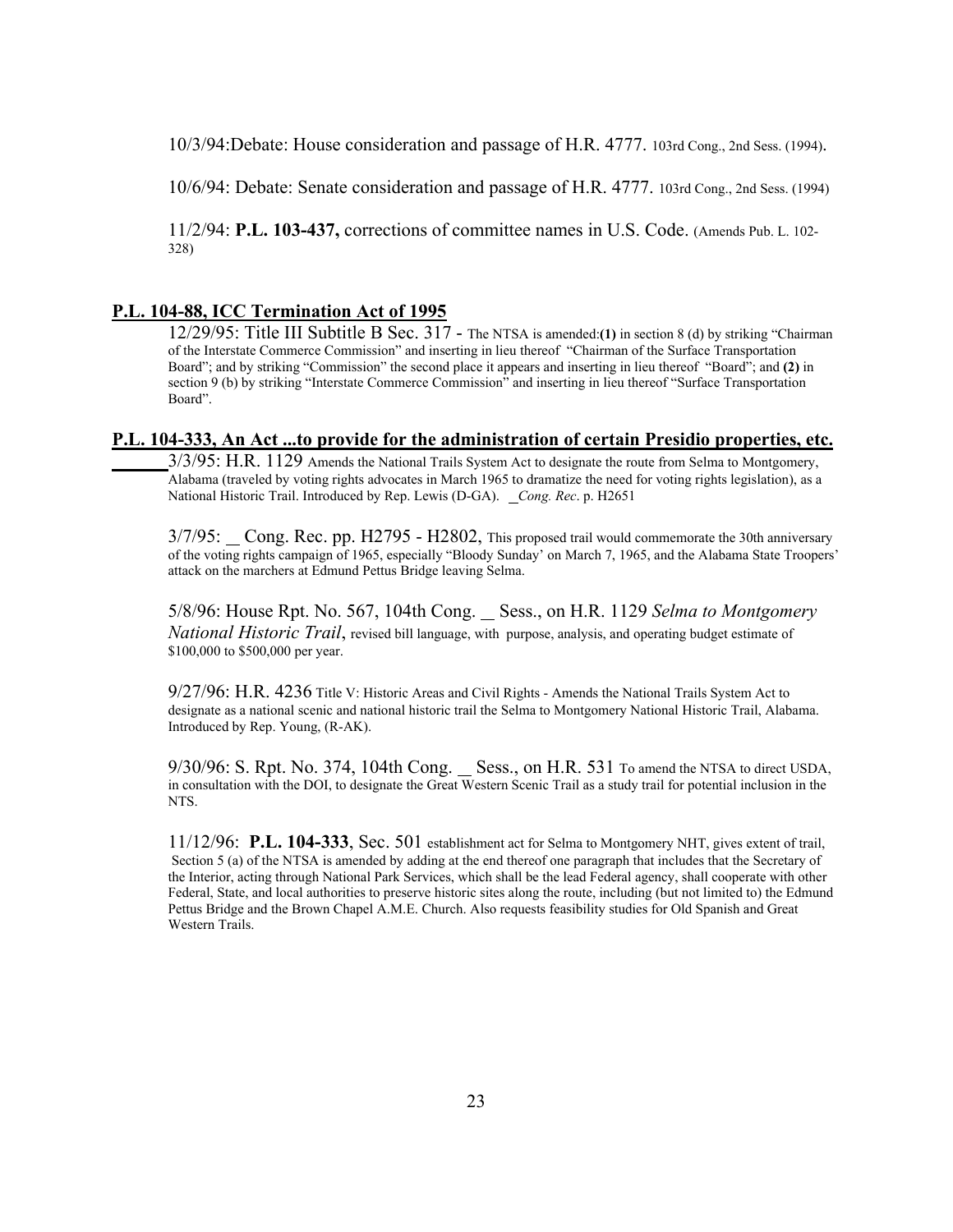10/3/94:Debate: House consideration and passage of H.R. 4777. 103rd Cong., 2nd Sess. (1994).

10/6/94: Debate: Senate consideration and passage of H.R. 4777. 103rd Cong., 2nd Sess. (1994)

11/2/94: **P.L. 103-437,** corrections of committee names in U.S. Code. (Amends Pub. L. 102- 328)

## **P.L. 104-88, ICC Termination Act of 1995**

12/29/95: Title III Subtitle B Sec. 317 - The NTSA is amended:**(1)** in section 8 (d) by striking "Chairman of the Interstate Commerce Commission" and inserting in lieu thereof "Chairman of the Surface Transportation Board"; and by striking "Commission" the second place it appears and inserting in lieu thereof "Board"; and **(2)** in section 9 (b) by striking "Interstate Commerce Commission" and inserting in lieu thereof "Surface Transportation Board".

#### **P.L. 104-333, An Act ...to provide for the administration of certain Presidio properties, etc.**

3/3/95: H.R. 1129 Amends the National Trails System Act to designate the route from Selma to Montgomery, Alabama (traveled by voting rights advocates in March 1965 to dramatize the need for voting rights legislation), as a National Historic Trail. Introduced by Rep. Lewis (D-GA). *Cong. Rec*. p. H2651

3/7/95: Cong. Rec. pp. H2795 - H2802, This proposed trail would commemorate the 30th anniversary of the voting rights campaign of 1965, especially "Bloody Sunday' on March 7, 1965, and the Alabama State Troopers' attack on the marchers at Edmund Pettus Bridge leaving Selma.

5/8/96: House Rpt. No. 567, 104th Cong. Sess., on H.R. 1129 *Selma to Montgomery National Historic Trail*, revised bill language, with purpose, analysis, and operating budget estimate of \$100,000 to \$500,000 per year.

9/27/96: H.R. 4236 Title V: Historic Areas and Civil Rights - Amends the National Trails System Act to designate as a national scenic and national historic trail the Selma to Montgomery National Historic Trail, Alabama. Introduced by Rep. Young, (R-AK).

 $9/30/96$ : S. Rpt. No. 374, 104th Cong.  $\_\_\$  Sess., on H.R. 531 To amend the NTSA to direct USDA, in consultation with the DOI, to designate the Great Western Scenic Trail as a study trail for potential inclusion in the NTS.

11/12/96: **P.L. 104-333**, Sec. 501 establishment act for Selma to Montgomery NHT, gives extent of trail, Section 5 (a) of the NTSA is amended by adding at the end thereof one paragraph that includes that the Secretary of the Interior, acting through National Park Services, which shall be the lead Federal agency, shall cooperate with other Federal, State, and local authorities to preserve historic sites along the route, including (but not limited to) the Edmund Pettus Bridge and the Brown Chapel A.M.E. Church. Also requests feasibility studies for Old Spanish and Great Western Trails.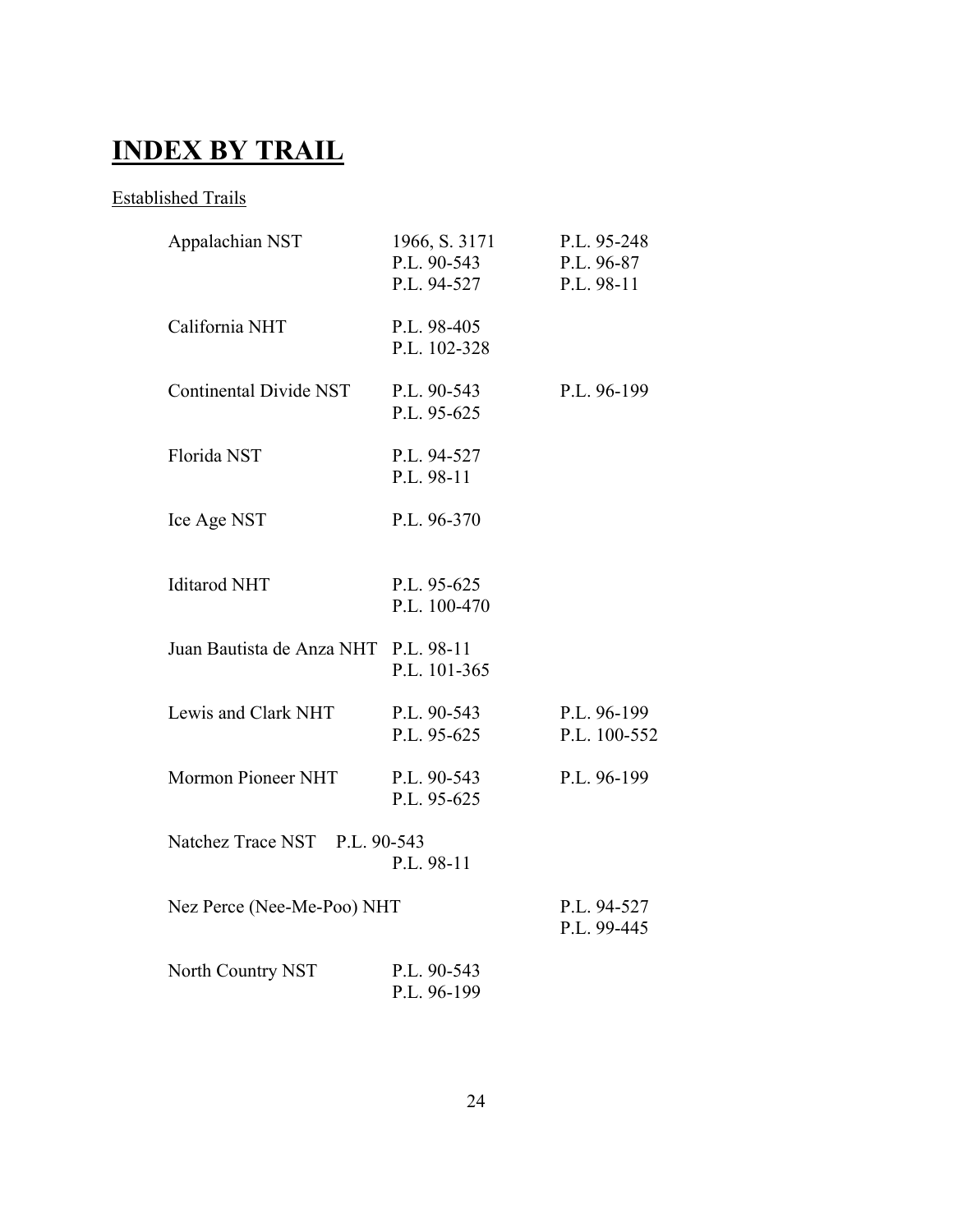# **INDEX BY TRAIL**

## Established Trails

| Appalachian NST                             | 1966, S. 3171<br>P.L. 90-543<br>P.L. 94-527 | P.L. 95-248<br>P.L. 96-87<br>P.L. 98-11 |  |
|---------------------------------------------|---------------------------------------------|-----------------------------------------|--|
| California NHT                              | P.L. 98-405<br>P.L. 102-328                 |                                         |  |
| <b>Continental Divide NST</b>               | P.L. 90-543<br>P.L. 95-625                  | P.L. 96-199                             |  |
| Florida NST                                 | P.L. 94-527<br>P.L. 98-11                   |                                         |  |
| Ice Age NST                                 | P.L. 96-370                                 |                                         |  |
| <b>Iditarod NHT</b>                         | P.L. 95-625<br>P.L. 100-470                 |                                         |  |
| Juan Bautista de Anza NHT                   | P.L. 98-11<br>P.L. 101-365                  |                                         |  |
| Lewis and Clark NHT                         | P.L. 90-543<br>P.L. 95-625                  | P.L. 96-199<br>P.L. 100-552             |  |
| <b>Mormon Pioneer NHT</b>                   | P.L. 90-543<br>P.L. 95-625                  | P.L. 96-199                             |  |
| Natchez Trace NST P.L. 90-543<br>P.L. 98-11 |                                             |                                         |  |
| Nez Perce (Nee-Me-Poo) NHT                  | P.L. 94-527<br>P.L. 99-445                  |                                         |  |
| North Country NST                           | P.L. 90-543<br>P.L. 96-199                  |                                         |  |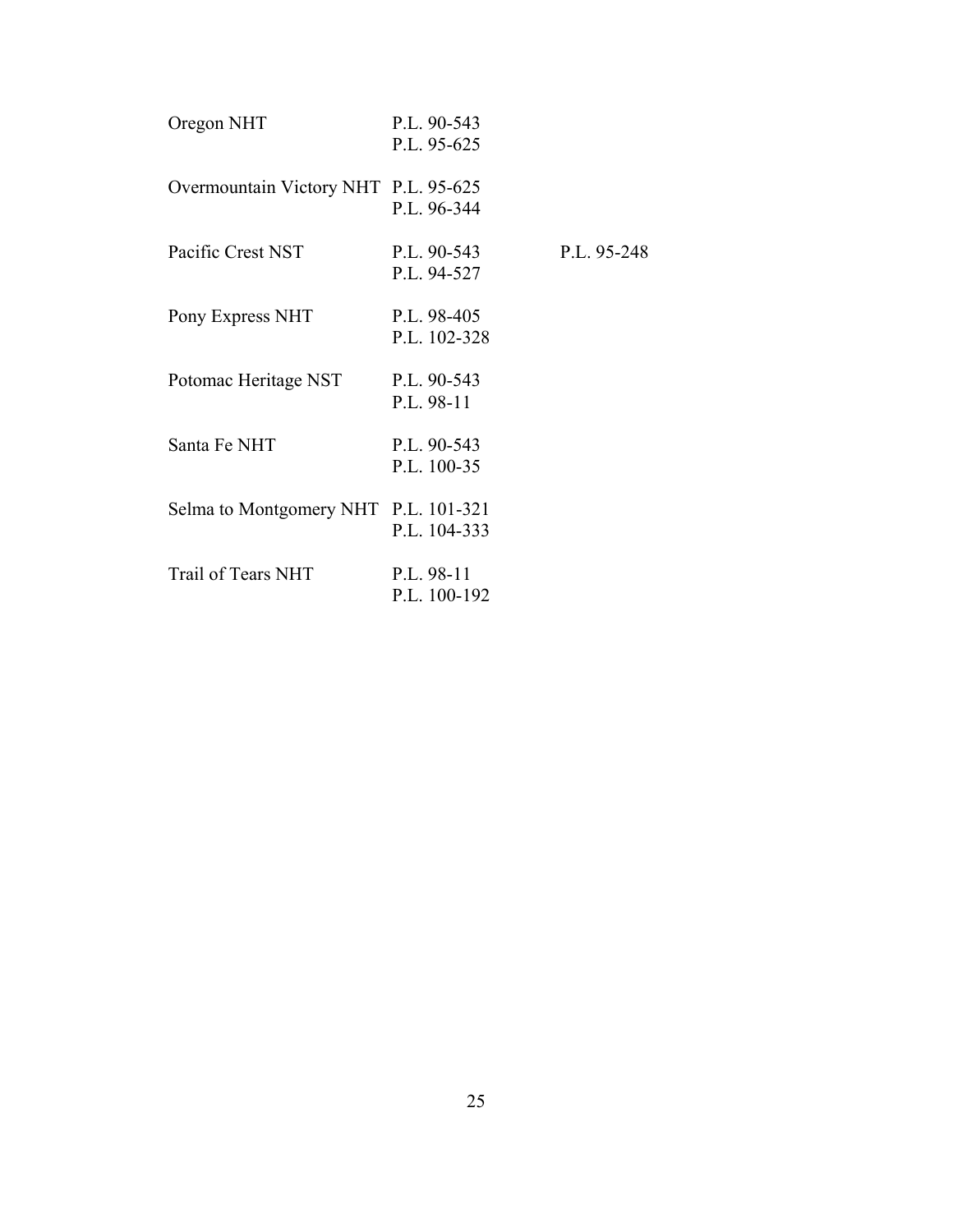| Oregon NHT                           | P.L. 90-543<br>P.L. 95-625   |               |
|--------------------------------------|------------------------------|---------------|
| Overmountain Victory NHT P.L. 95-625 | P.L. 96-344                  |               |
| Pacific Crest NST                    | $P.L. 90-543$<br>P.L. 94-527 | $P.L. 95-248$ |
| Pony Express NHT                     | P.L. 98-405<br>P.L. 102-328  |               |
| Potomac Heritage NST                 | P.L. 90-543<br>P.L. 98-11    |               |
| Santa Fe NHT                         | P.L. 90-543<br>P.L. 100-35   |               |
| Selma to Montgomery NHT P.L. 101-321 | P.L. 104-333                 |               |
| Trail of Tears NHT                   | P.L. 98-11<br>P.L. 100-192   |               |